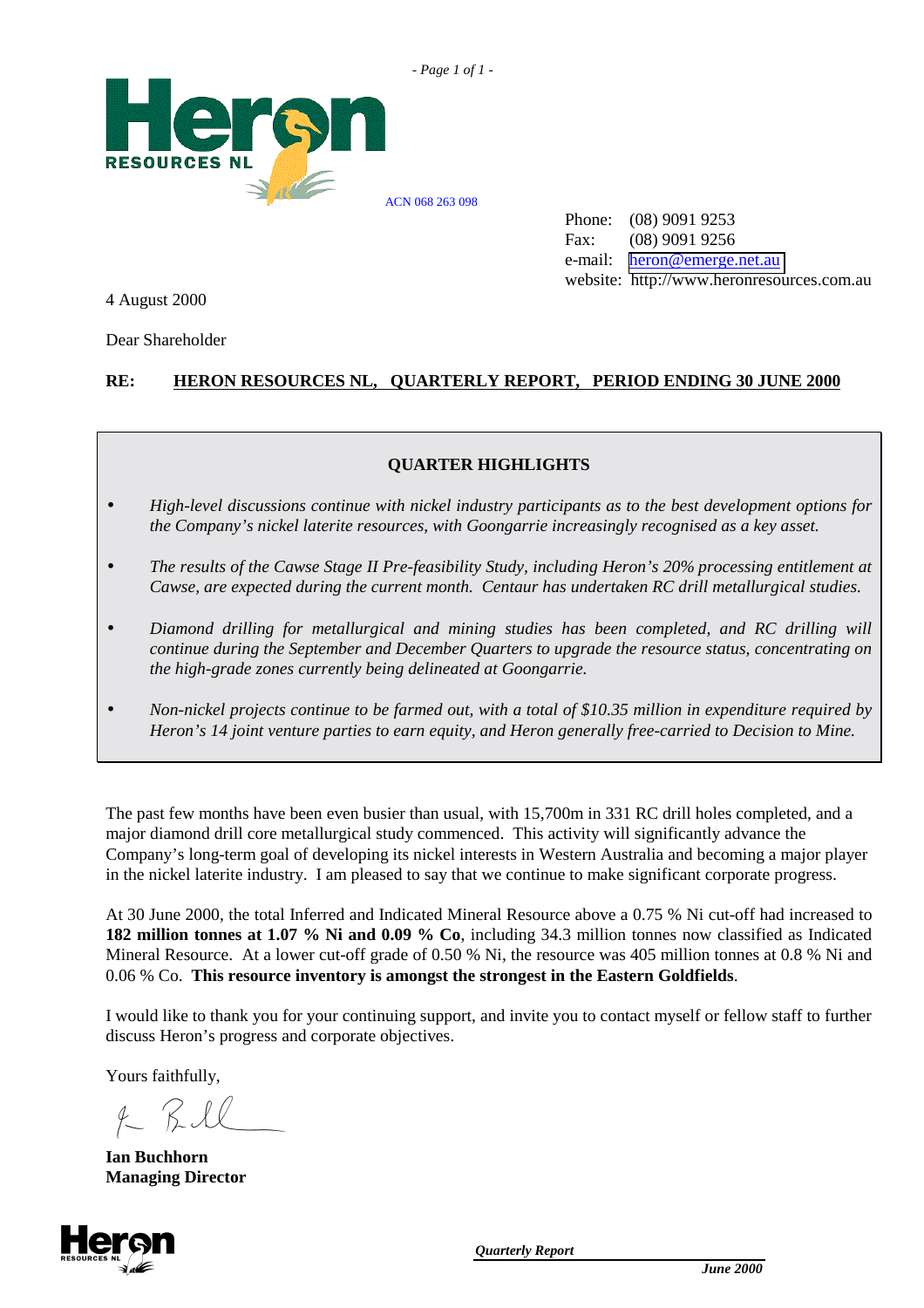



ACN 068 263 098

Phone: (08) 9091 9253 Fax: (08) 9091 9256 e-mail: [heron@emerge.net.au](mailto:heron@emerge.net.au) website: http://www.heronresources.com.au

4 August 2000

Dear Shareholder

## **RE: HERON RESOURCES NL, QUARTERLY REPORT, PERIOD ENDING 30 JUNE 2000**

## **QUARTER HIGHLIGHTS**

- *High-level discussions continue with nickel industry participants as to the best development options for the Company's nickel laterite resources, with Goongarrie increasingly recognised as a key asset.*
- *The results of the Cawse Stage II Pre-feasibility Study, including Heron's 20% processing entitlement at Cawse, are expected during the current month. Centaur has undertaken RC drill metallurgical studies.*
- *Diamond drilling for metallurgical and mining studies has been completed, and RC drilling will continue during the September and December Quarters to upgrade the resource status, concentrating on the high-grade zones currently being delineated at Goongarrie.*
- *Non-nickel projects continue to be farmed out, with a total of \$10.35 million in expenditure required by Heron's 14 joint venture parties to earn equity, and Heron generally free-carried to Decision to Mine.*

The past few months have been even busier than usual, with 15,700m in 331 RC drill holes completed, and a major diamond drill core metallurgical study commenced. This activity will significantly advance the Company's long-term goal of developing its nickel interests in Western Australia and becoming a major player in the nickel laterite industry. I am pleased to say that we continue to make significant corporate progress.

At 30 June 2000, the total Inferred and Indicated Mineral Resource above a 0.75 % Ni cut-off had increased to **182 million tonnes at 1.07 % Ni and 0.09 % Co**, including 34.3 million tonnes now classified as Indicated Mineral Resource. At a lower cut-off grade of 0.50 % Ni, the resource was 405 million tonnes at 0.8 % Ni and 0.06 % Co. **This resource inventory is amongst the strongest in the Eastern Goldfields**.

I would like to thank you for your continuing support, and invite you to contact myself or fellow staff to further discuss Heron's progress and corporate objectives.

Yours faithfully,

**Ian Buchhorn Managing Director**

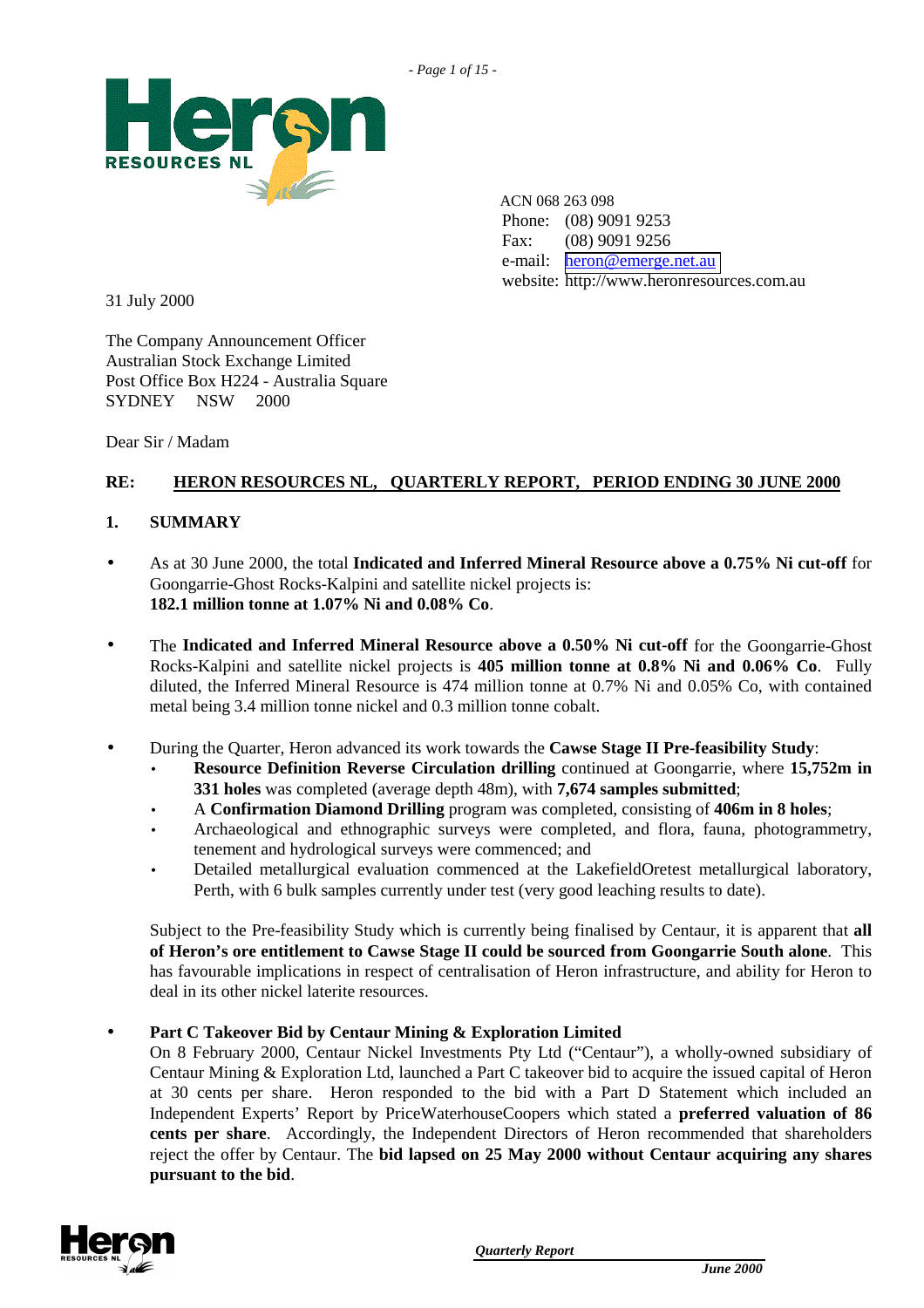

 ACN 068 263 098 Phone: (08) 9091 9253 Fax: (08) 9091 9256 e-mail: [heron@emerge.net.au](mailto:heron@emerge.net.au) website: http://www.heronresources.com.au

31 July 2000

The Company Announcement Officer Australian Stock Exchange Limited Post Office Box H224 - Australia Square SYDNEY NSW 2000

Dear Sir / Madam

# **RE: HERON RESOURCES NL, QUARTERLY REPORT, PERIOD ENDING 30 JUNE 2000**

## **1. SUMMARY**

- As at 30 June 2000, the total **Indicated and Inferred Mineral Resource above a 0.75% Ni cut-off** for Goongarrie-Ghost Rocks-Kalpini and satellite nickel projects is: **182.1 million tonne at 1.07% Ni and 0.08% Co**.
- The **Indicated and Inferred Mineral Resource above a 0.50% Ni cut-off** for the Goongarrie-Ghost Rocks-Kalpini and satellite nickel projects is **405 million tonne at 0.8% Ni and 0.06% Co**. Fully diluted, the Inferred Mineral Resource is 474 million tonne at 0.7% Ni and 0.05% Co, with contained metal being 3.4 million tonne nickel and 0.3 million tonne cobalt.
- During the Quarter, Heron advanced its work towards the **Cawse Stage II Pre-feasibility Study**:
	- **Resource Definition Reverse Circulation drilling** continued at Goongarrie, where **15,752m in 331 holes** was completed (average depth 48m), with **7,674 samples submitted**;
	- A **Confirmation Diamond Drilling** program was completed, consisting of **406m in 8 holes**;
	- Archaeological and ethnographic surveys were completed, and flora, fauna, photogrammetry, tenement and hydrological surveys were commenced; and
	- Detailed metallurgical evaluation commenced at the LakefieldOretest metallurgical laboratory, Perth, with 6 bulk samples currently under test (very good leaching results to date).

Subject to the Pre-feasibility Study which is currently being finalised by Centaur, it is apparent that **all of Heron's ore entitlement to Cawse Stage II could be sourced from Goongarrie South alone**. This has favourable implications in respect of centralisation of Heron infrastructure, and ability for Heron to deal in its other nickel laterite resources.

## • **Part C Takeover Bid by Centaur Mining & Exploration Limited**

On 8 February 2000, Centaur Nickel Investments Pty Ltd ("Centaur"), a wholly-owned subsidiary of Centaur Mining & Exploration Ltd, launched a Part C takeover bid to acquire the issued capital of Heron at 30 cents per share. Heron responded to the bid with a Part D Statement which included an Independent Experts' Report by PriceWaterhouseCoopers which stated a **preferred valuation of 86 cents per share**. Accordingly, the Independent Directors of Heron recommended that shareholders reject the offer by Centaur. The **bid lapsed on 25 May 2000 without Centaur acquiring any shares pursuant to the bid**.

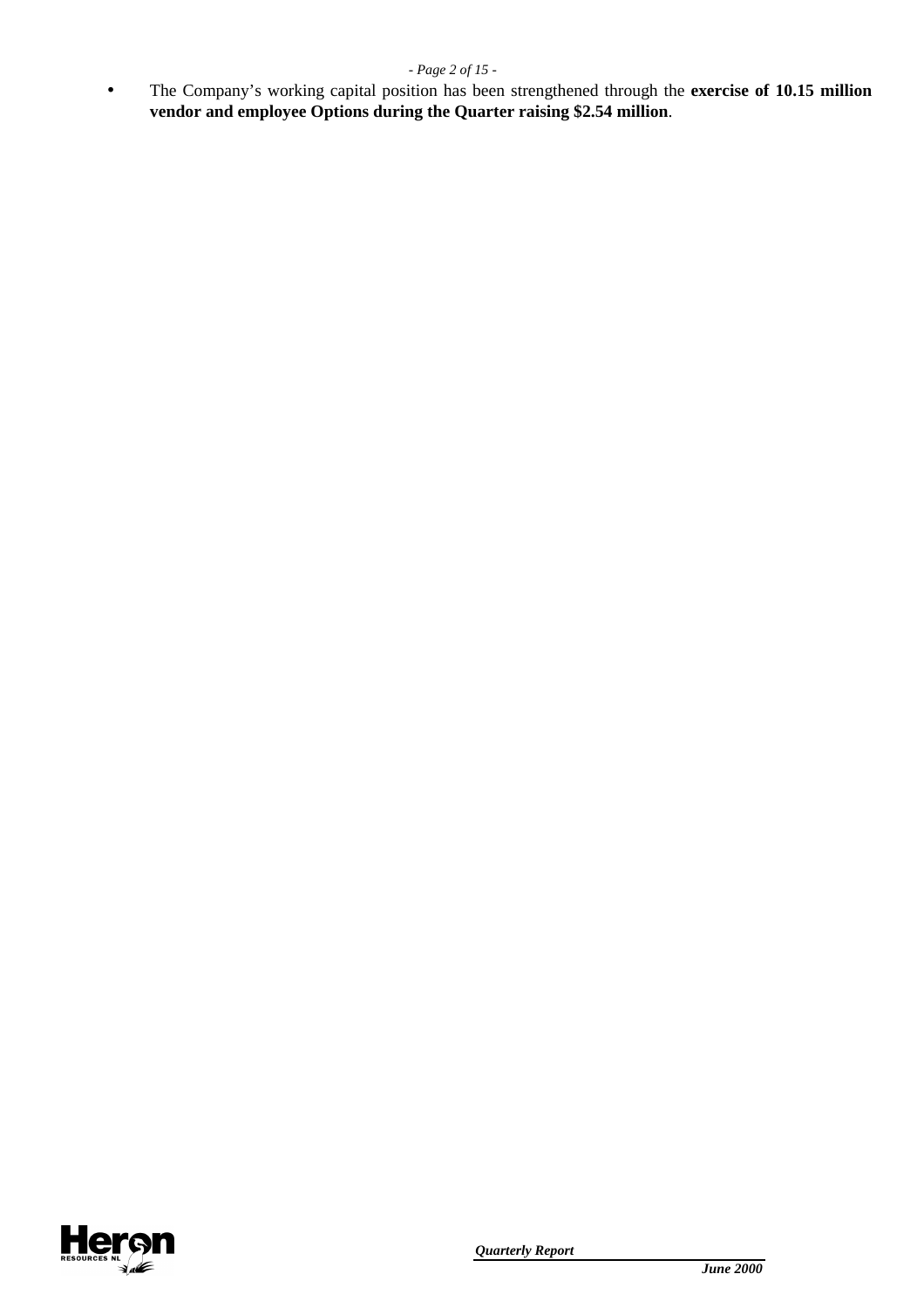#### *- Page 2 of 15 -*

• The Company's working capital position has been strengthened through the **exercise of 10.15 million vendor and employee Options during the Quarter raising \$2.54 million**.

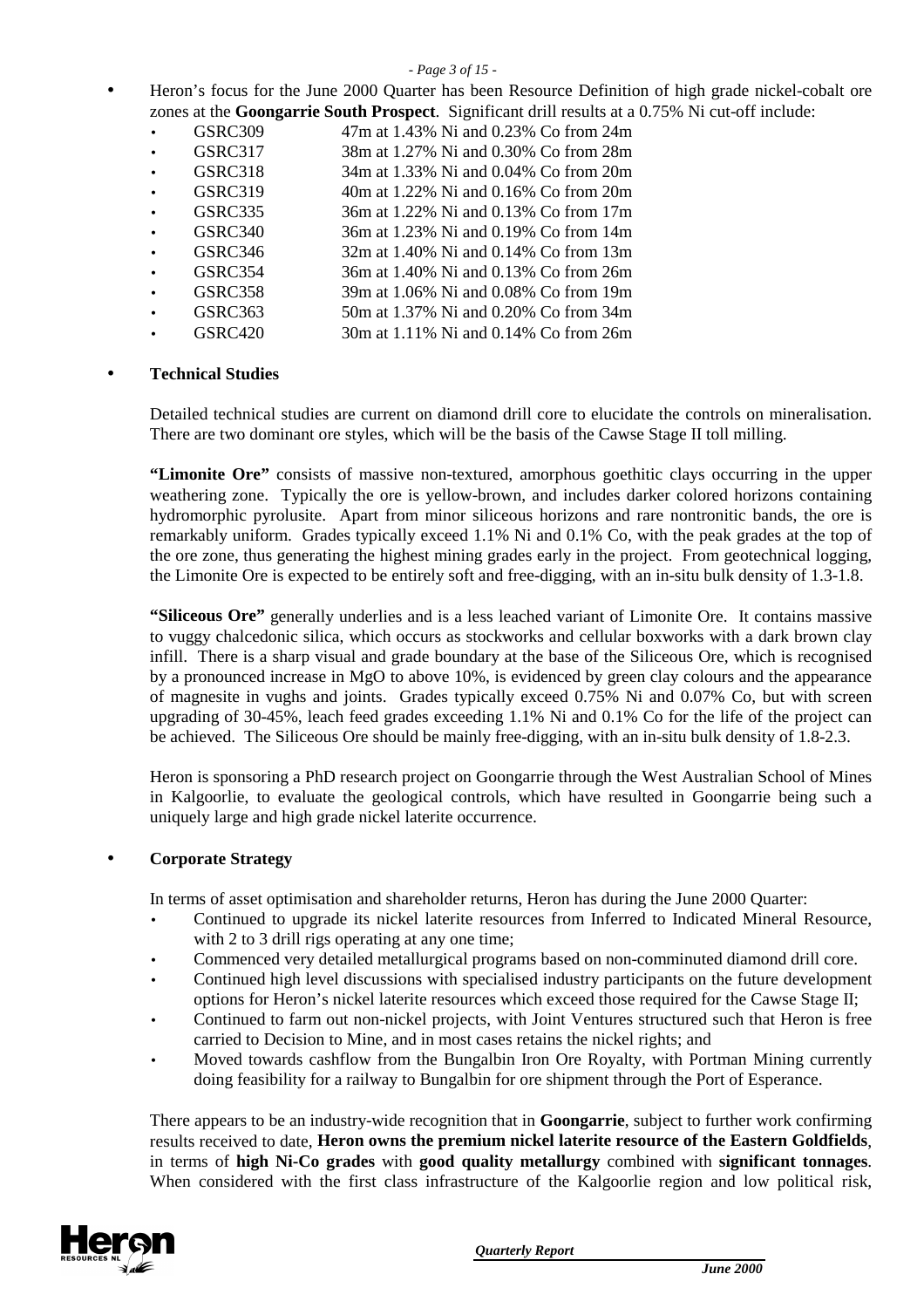#### *- Page 3 of 15 -*

- Heron's focus for the June 2000 Quarter has been Resource Definition of high grade nickel-cobalt ore zones at the **Goongarrie South Prospect**. Significant drill results at a 0.75% Ni cut-off include:
	- GSRC309 47m at  $1.43\%$  Ni and  $0.23\%$  Co from  $24m$ • **GSRC317** 38m at 1.27% Ni and 0.30% Co from 28m
	- GSRC318 34m at 1.33% Ni and  $0.04\%$  Co from  $20m$
	- GSRC319 40m at 1.22% Ni and 0.16% Co from 20m
	- GSRC335 36m at 1.22% Ni and 0.13% Co from 17m • GSRC340 36m at 1.23% Ni and 0.19% Co from 14m
	- GSRC346 32m at 1.40% Ni and 0.14% Co from 13m
	- GSRC354 36m at 1.40% Ni and 0.13% Co from 26m
	- GSRC358 39m at 1.06% Ni and 0.08% Co from 19m
	- GSRC363 50m at 1.37% Ni and 0.20% Co from 34m
	- GSRC420 30m at 1.11% Ni and 0.14% Co from 26m

# • **Technical Studies**

Detailed technical studies are current on diamond drill core to elucidate the controls on mineralisation. There are two dominant ore styles, which will be the basis of the Cawse Stage II toll milling.

**"Limonite Ore"** consists of massive non-textured, amorphous goethitic clays occurring in the upper weathering zone. Typically the ore is yellow-brown, and includes darker colored horizons containing hydromorphic pyrolusite. Apart from minor siliceous horizons and rare nontronitic bands, the ore is remarkably uniform. Grades typically exceed 1.1% Ni and 0.1% Co, with the peak grades at the top of the ore zone, thus generating the highest mining grades early in the project. From geotechnical logging, the Limonite Ore is expected to be entirely soft and free-digging, with an in-situ bulk density of 1.3-1.8.

**"Siliceous Ore"** generally underlies and is a less leached variant of Limonite Ore. It contains massive to vuggy chalcedonic silica, which occurs as stockworks and cellular boxworks with a dark brown clay infill. There is a sharp visual and grade boundary at the base of the Siliceous Ore, which is recognised by a pronounced increase in MgO to above 10%, is evidenced by green clay colours and the appearance of magnesite in vughs and joints. Grades typically exceed 0.75% Ni and 0.07% Co, but with screen upgrading of 30-45%, leach feed grades exceeding 1.1% Ni and 0.1% Co for the life of the project can be achieved. The Siliceous Ore should be mainly free-digging, with an in-situ bulk density of 1.8-2.3.

Heron is sponsoring a PhD research project on Goongarrie through the West Australian School of Mines in Kalgoorlie, to evaluate the geological controls, which have resulted in Goongarrie being such a uniquely large and high grade nickel laterite occurrence.

# • **Corporate Strategy**

In terms of asset optimisation and shareholder returns, Heron has during the June 2000 Quarter:

- Continued to upgrade its nickel laterite resources from Inferred to Indicated Mineral Resource, with 2 to 3 drill rigs operating at any one time;
- Commenced very detailed metallurgical programs based on non-comminuted diamond drill core.
- Continued high level discussions with specialised industry participants on the future development options for Heron's nickel laterite resources which exceed those required for the Cawse Stage II;
- Continued to farm out non-nickel projects, with Joint Ventures structured such that Heron is free carried to Decision to Mine, and in most cases retains the nickel rights; and
- Moved towards cashflow from the Bungalbin Iron Ore Royalty, with Portman Mining currently doing feasibility for a railway to Bungalbin for ore shipment through the Port of Esperance.

There appears to be an industry-wide recognition that in **Goongarrie**, subject to further work confirming results received to date, **Heron owns the premium nickel laterite resource of the Eastern Goldfields**, in terms of **high Ni-Co grades** with **good quality metallurgy** combined with **significant tonnages**. When considered with the first class infrastructure of the Kalgoorlie region and low political risk,

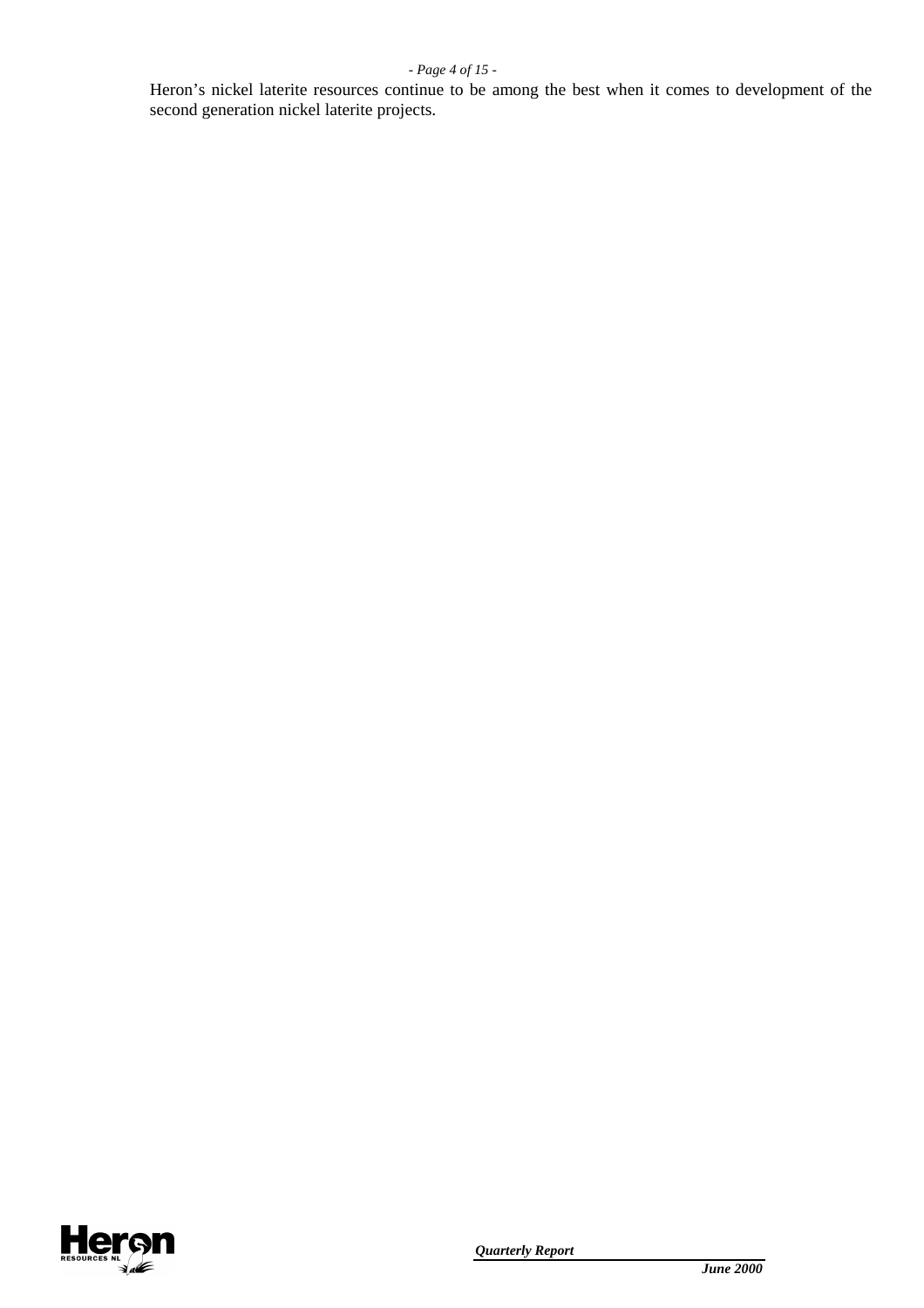#### *- Page 4 of 15 -*

Heron's nickel laterite resources continue to be among the best when it comes to development of the second generation nickel laterite projects.

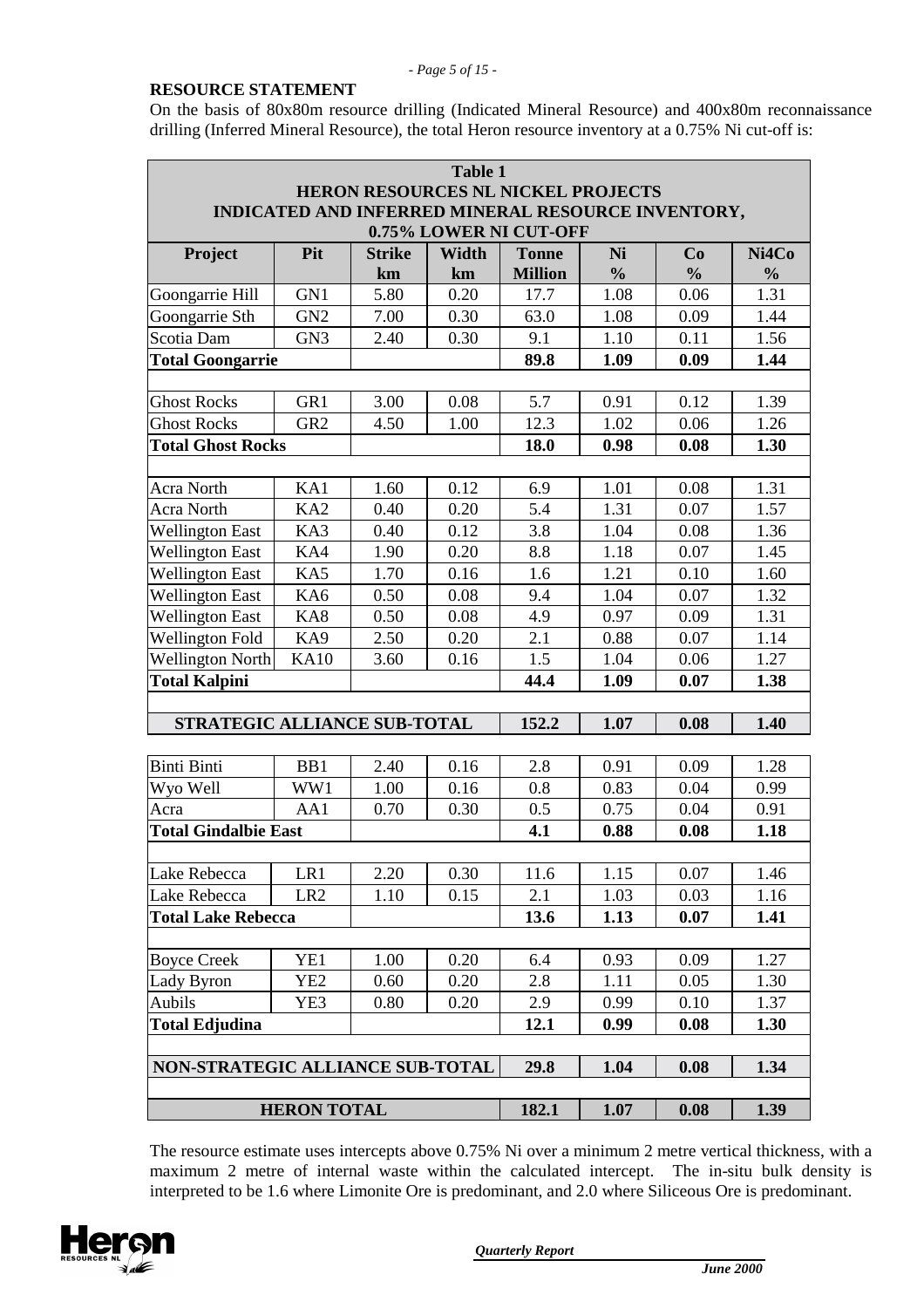### **RESOURCE STATEMENT**

On the basis of 80x80m resource drilling (Indicated Mineral Resource) and 400x80m reconnaissance drilling (Inferred Mineral Resource), the total Heron resource inventory at a 0.75% Ni cut-off is:

| <b>Table 1</b>                                                                                  |                    |               |       |                |               |               |               |  |  |  |
|-------------------------------------------------------------------------------------------------|--------------------|---------------|-------|----------------|---------------|---------------|---------------|--|--|--|
| <b>HERON RESOURCES NL NICKEL PROJECTS</b><br>INDICATED AND INFERRED MINERAL RESOURCE INVENTORY, |                    |               |       |                |               |               |               |  |  |  |
|                                                                                                 |                    |               |       |                |               |               |               |  |  |  |
| Project                                                                                         | Pit                | <b>Strike</b> | Width | <b>Tonne</b>   | Ni            | Co            | Ni4Co         |  |  |  |
|                                                                                                 |                    | km            | km    | <b>Million</b> | $\frac{0}{0}$ | $\frac{0}{0}$ | $\frac{0}{0}$ |  |  |  |
| Goongarrie Hill                                                                                 | GN1                | 5.80          | 0.20  | 17.7           | 1.08          | 0.06          | 1.31          |  |  |  |
| Goongarrie Sth                                                                                  | GN <sub>2</sub>    | 7.00          | 0.30  | 63.0           | 1.08          | 0.09          | 1.44          |  |  |  |
| Scotia Dam                                                                                      | GN <sub>3</sub>    | 2.40          | 0.30  | 9.1            | 1.10          | 0.11          | 1.56          |  |  |  |
| <b>Total Goongarrie</b>                                                                         |                    |               |       | 89.8           | 1.09          | 0.09          | 1.44          |  |  |  |
|                                                                                                 |                    |               |       |                |               |               |               |  |  |  |
| <b>Ghost Rocks</b>                                                                              | GR1                | 3.00          | 0.08  | 5.7            | 0.91          | 0.12          | 1.39          |  |  |  |
| <b>Ghost Rocks</b>                                                                              | GR <sub>2</sub>    | 4.50          | 1.00  | 12.3           | 1.02          | 0.06          | 1.26          |  |  |  |
| <b>Total Ghost Rocks</b>                                                                        |                    |               |       | 18.0           | 0.98          | 0.08          | 1.30          |  |  |  |
|                                                                                                 |                    |               |       |                |               |               |               |  |  |  |
| Acra North                                                                                      | KA1                | 1.60          | 0.12  | 6.9            | 1.01          | 0.08          | 1.31          |  |  |  |
| Acra North                                                                                      | KA <sub>2</sub>    | 0.40          | 0.20  | 5.4            | 1.31          | 0.07          | 1.57          |  |  |  |
| <b>Wellington East</b>                                                                          | KA3                | 0.40          | 0.12  | 3.8            | 1.04          | 0.08          | 1.36          |  |  |  |
| <b>Wellington East</b>                                                                          | KA4                | 1.90          | 0.20  | 8.8            | 1.18          | 0.07          | 1.45          |  |  |  |
| <b>Wellington East</b>                                                                          | KA5                | 1.70          | 0.16  | 1.6            | 1.21          | 0.10          | 1.60          |  |  |  |
| <b>Wellington East</b>                                                                          | KA6                | 0.50          | 0.08  | 9.4            | 1.04          | 0.07          | 1.32          |  |  |  |
| <b>Wellington East</b>                                                                          | KA8                | 0.50          | 0.08  | 4.9            | 0.97          | 0.09          | 1.31          |  |  |  |
| <b>Wellington Fold</b>                                                                          | KA9                | 2.50          | 0.20  | 2.1            | 0.88          | 0.07          | 1.14          |  |  |  |
| <b>Wellington North</b>                                                                         | <b>KA10</b>        | 3.60          | 0.16  | 1.5            | 1.04          | 0.06          | 1.27          |  |  |  |
| <b>Total Kalpini</b>                                                                            |                    |               |       | 44.4           | 1.09          | 0.07          | 1.38          |  |  |  |
|                                                                                                 |                    |               |       |                |               |               |               |  |  |  |
| STRATEGIC ALLIANCE SUB-TOTAL                                                                    |                    |               |       | 152.2          | 1.07          | 0.08          | 1.40          |  |  |  |
|                                                                                                 |                    |               |       |                |               |               |               |  |  |  |
| <b>Binti Binti</b>                                                                              | B <sub>B1</sub>    | 2.40          | 0.16  | 2.8            | 0.91          | 0.09          | 1.28          |  |  |  |
| Wyo Well                                                                                        | WW1                | 1.00          | 0.16  | 0.8            | 0.83          | 0.04          | 0.99          |  |  |  |
| Acra                                                                                            | AA1                | 0.70          | 0.30  | 0.5            | 0.75          | 0.04          | 0.91          |  |  |  |
| <b>Total Gindalbie East</b>                                                                     |                    |               |       | 4.1            | 0.88          | 0.08          | 1.18          |  |  |  |
|                                                                                                 |                    |               |       |                |               |               |               |  |  |  |
| Lake Rebecca                                                                                    | LR1                | 2.20          | 0.30  | 11.6           | 1.15          | 0.07          | 1.46          |  |  |  |
| Lake Rebecca                                                                                    | LR <sub>2</sub>    | 1.10          | 0.15  | 2.1            | 1.03          | 0.03          | 1.16          |  |  |  |
| <b>Total Lake Rebecca</b>                                                                       |                    |               |       | 13.6           | 1.13          | 0.07          | 1.41          |  |  |  |
|                                                                                                 |                    |               |       |                |               |               |               |  |  |  |
| <b>Boyce Creek</b>                                                                              | YE1                | 1.00          | 0.20  | 6.4            | 0.93          | 0.09          | 1.27          |  |  |  |
| Lady Byron                                                                                      | YE2                | 0.60          | 0.20  | 2.8            | 1.11          | 0.05          | 1.30          |  |  |  |
| Aubils                                                                                          | YE3                | 0.80          | 0.20  | 2.9            | 0.99          | 0.10          | 1.37          |  |  |  |
| <b>Total Edjudina</b>                                                                           |                    |               |       | 12.1           | 0.99          | 0.08          | 1.30          |  |  |  |
|                                                                                                 |                    |               |       |                |               |               |               |  |  |  |
| NON-STRATEGIC ALLIANCE SUB-TOTAL                                                                |                    |               |       | 29.8           | 1.04          | 0.08          | 1.34          |  |  |  |
|                                                                                                 |                    |               |       |                |               |               |               |  |  |  |
|                                                                                                 | <b>HERON TOTAL</b> |               |       | 182.1          | 1.07          | 0.08          | 1.39          |  |  |  |

The resource estimate uses intercepts above 0.75% Ni over a minimum 2 metre vertical thickness, with a maximum 2 metre of internal waste within the calculated intercept. The in-situ bulk density is interpreted to be 1.6 where Limonite Ore is predominant, and 2.0 where Siliceous Ore is predominant.

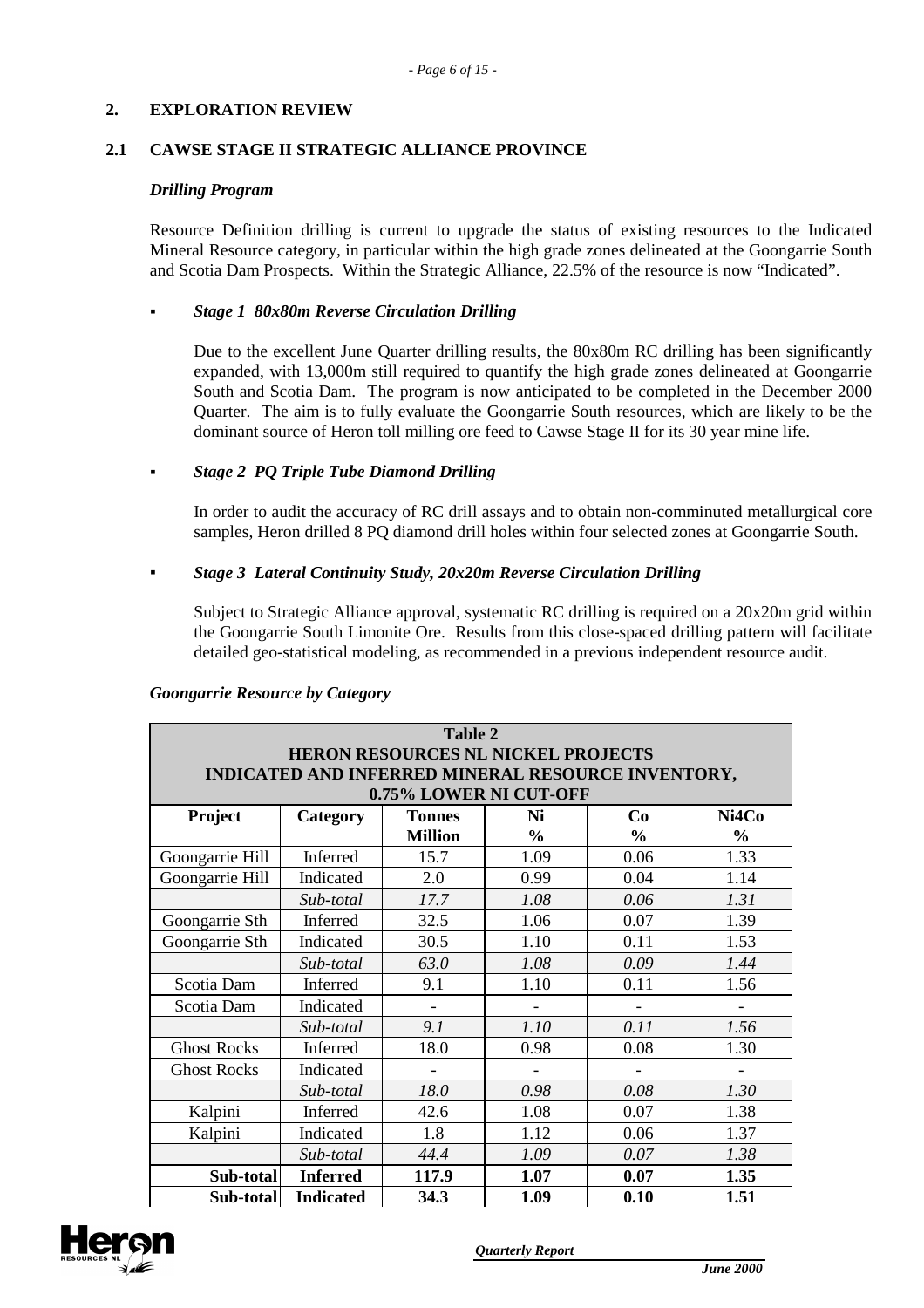### **2. EXPLORATION REVIEW**

### **2.1 CAWSE STAGE II STRATEGIC ALLIANCE PROVINCE**

#### *Drilling Program*

Resource Definition drilling is current to upgrade the status of existing resources to the Indicated Mineral Resource category, in particular within the high grade zones delineated at the Goongarrie South and Scotia Dam Prospects. Within the Strategic Alliance, 22.5% of the resource is now "Indicated".

#### ! *Stage 1 80x80m Reverse Circulation Drilling*

Due to the excellent June Quarter drilling results, the 80x80m RC drilling has been significantly expanded, with 13,000m still required to quantify the high grade zones delineated at Goongarrie South and Scotia Dam. The program is now anticipated to be completed in the December 2000 Quarter. The aim is to fully evaluate the Goongarrie South resources, which are likely to be the dominant source of Heron toll milling ore feed to Cawse Stage II for its 30 year mine life.

## ! *Stage 2 PQ Triple Tube Diamond Drilling*

In order to audit the accuracy of RC drill assays and to obtain non-comminuted metallurgical core samples, Heron drilled 8 PQ diamond drill holes within four selected zones at Goongarrie South.

### ! *Stage 3 Lateral Continuity Study, 20x20m Reverse Circulation Drilling*

Subject to Strategic Alliance approval, systematic RC drilling is required on a 20x20m grid within the Goongarrie South Limonite Ore. Results from this close-spaced drilling pattern will facilitate detailed geo-statistical modeling, as recommended in a previous independent resource audit.

| <b>Table 2</b>                                     |                        |                |               |               |               |  |  |  |  |  |  |
|----------------------------------------------------|------------------------|----------------|---------------|---------------|---------------|--|--|--|--|--|--|
| HERON RESOURCES NL NICKEL PROJECTS                 |                        |                |               |               |               |  |  |  |  |  |  |
| INDICATED AND INFERRED MINERAL RESOURCE INVENTORY, |                        |                |               |               |               |  |  |  |  |  |  |
|                                                    | 0.75% LOWER NI CUT-OFF |                |               |               |               |  |  |  |  |  |  |
| Project                                            | Category               | <b>Tonnes</b>  | Ni            | Co            | Ni4Co         |  |  |  |  |  |  |
|                                                    |                        | <b>Million</b> | $\frac{0}{0}$ | $\frac{0}{0}$ | $\frac{0}{0}$ |  |  |  |  |  |  |
| Goongarrie Hill                                    | Inferred               | 15.7           | 1.09          | 0.06          | 1.33          |  |  |  |  |  |  |
| Goongarrie Hill                                    | Indicated              | 2.0            | 0.99          | 0.04          | 1.14          |  |  |  |  |  |  |
|                                                    | Sub-total              | 17.7           | 1.08          | 0.06          | 1.31          |  |  |  |  |  |  |
| Goongarrie Sth                                     | Inferred               | 32.5           | 1.06          | 0.07          | 1.39          |  |  |  |  |  |  |
| Goongarrie Sth                                     | Indicated              | 30.5           | 1.10          | 0.11          | 1.53          |  |  |  |  |  |  |
|                                                    | Sub-total              | 63.0           | 1.08          | 0.09          | 1.44          |  |  |  |  |  |  |
| Scotia Dam                                         | Inferred               | 9.1            | 1.10          | 0.11          | 1.56          |  |  |  |  |  |  |
| Scotia Dam                                         | Indicated              |                |               |               |               |  |  |  |  |  |  |
|                                                    | Sub-total              | 9.1            | 1.10          | 0.11          | 1.56          |  |  |  |  |  |  |
| <b>Ghost Rocks</b>                                 | Inferred               | 18.0           | 0.98          | 0.08          | 1.30          |  |  |  |  |  |  |
| <b>Ghost Rocks</b>                                 | Indicated              |                |               |               |               |  |  |  |  |  |  |
|                                                    | Sub-total              | 18.0           | 0.98          | 0.08          | 1.30          |  |  |  |  |  |  |
| Kalpini                                            | Inferred               | 42.6           | 1.08          | 0.07          | 1.38          |  |  |  |  |  |  |
| Kalpini                                            | Indicated              | 1.8            | 1.12          | 0.06          | 1.37          |  |  |  |  |  |  |
|                                                    | Sub-total              | 44.4           | 1.09          | 0.07          | 1.38          |  |  |  |  |  |  |
| Sub-total                                          | <b>Inferred</b>        | 117.9          | 1.07          | 0.07          | 1.35          |  |  |  |  |  |  |
| Sub-total                                          | <b>Indicated</b>       | 34.3           | 1.09          | 0.10          | 1.51          |  |  |  |  |  |  |

#### *Goongarrie Resource by Category*

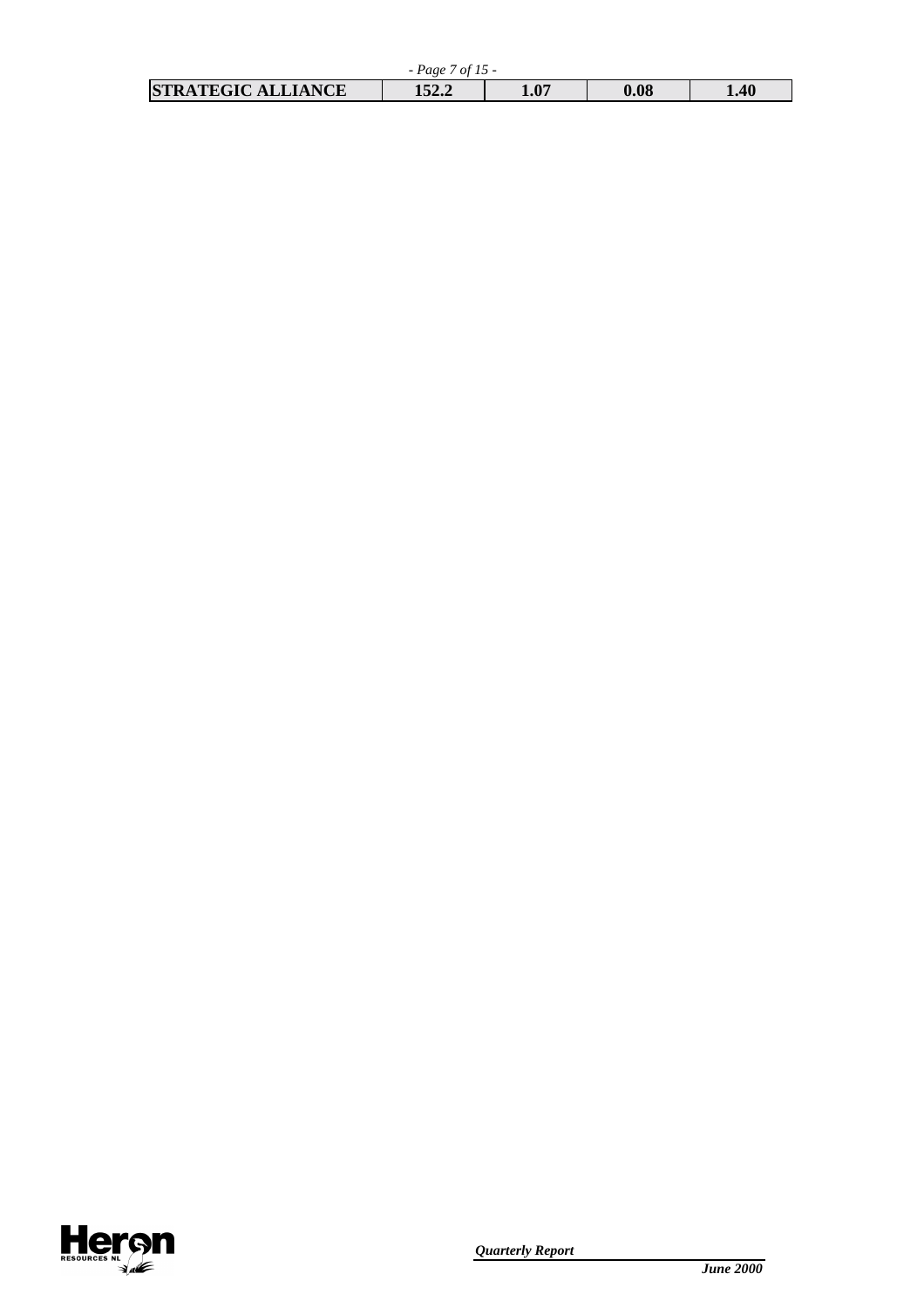| Page 7 of 15 -            |       |      |      |      |  |  |  |  |
|---------------------------|-------|------|------|------|--|--|--|--|
| <b>STRATEGIC ALLIANCE</b> | 152.2 | 1.07 | 0.08 | 1.40 |  |  |  |  |

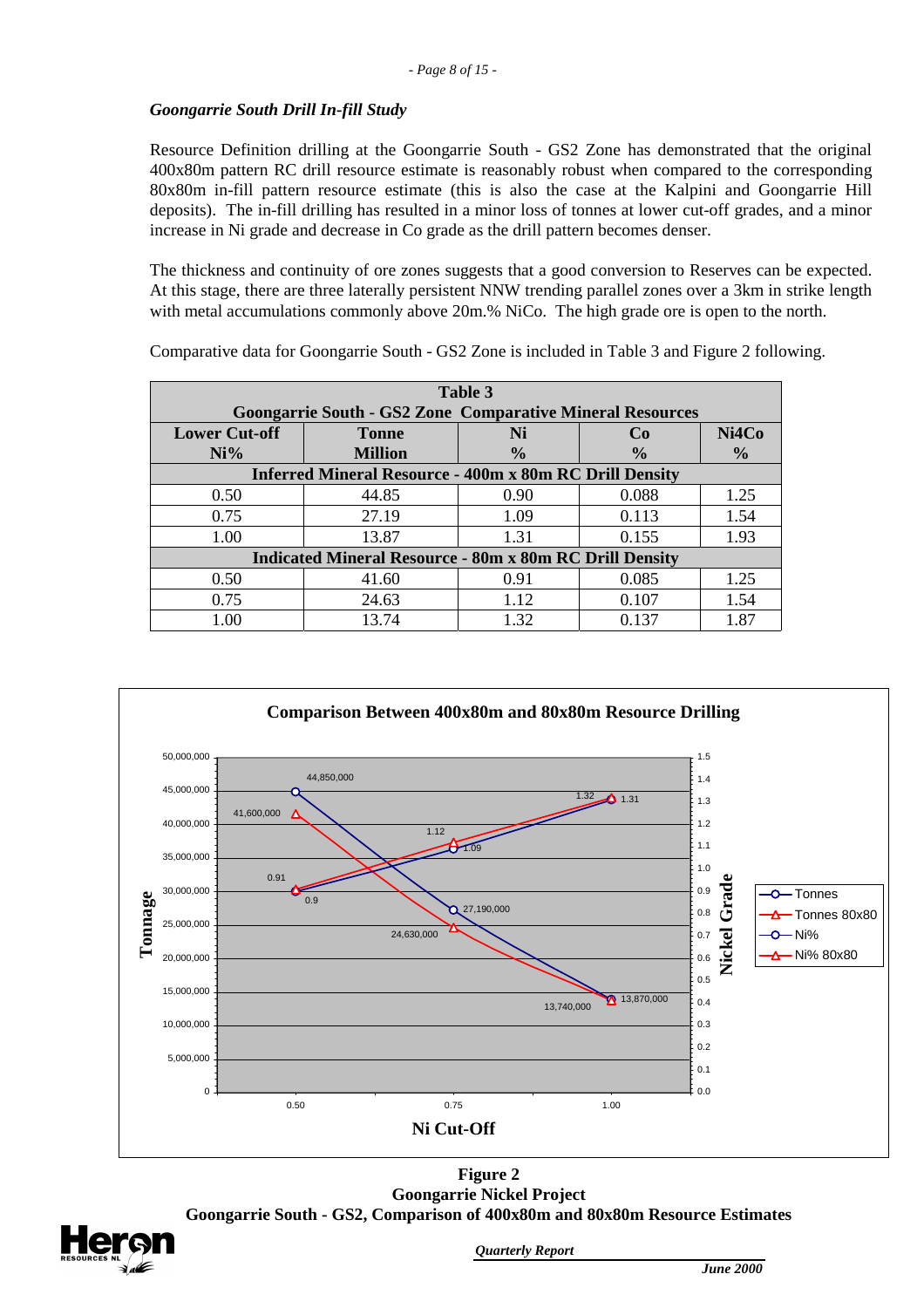# *Goongarrie South Drill In-fill Study*

Resource Definition drilling at the Goongarrie South - GS2 Zone has demonstrated that the original 400x80m pattern RC drill resource estimate is reasonably robust when compared to the corresponding 80x80m in-fill pattern resource estimate (this is also the case at the Kalpini and Goongarrie Hill deposits). The in-fill drilling has resulted in a minor loss of tonnes at lower cut-off grades, and a minor increase in Ni grade and decrease in Co grade as the drill pattern becomes denser.

The thickness and continuity of ore zones suggests that a good conversion to Reserves can be expected. At this stage, there are three laterally persistent NNW trending parallel zones over a 3km in strike length with metal accumulations commonly above 20m.% NiCo. The high grade ore is open to the north.

| Table 3<br><b>Goongarrie South - GS2 Zone Comparative Mineral Resources</b> |                |               |               |               |  |  |  |  |
|-----------------------------------------------------------------------------|----------------|---------------|---------------|---------------|--|--|--|--|
| <b>Lower Cut-off</b>                                                        | <b>Tonne</b>   | Ni            | Co            | Ni4Co         |  |  |  |  |
| Ni%                                                                         | <b>Million</b> | $\frac{0}{0}$ | $\frac{0}{0}$ | $\frac{0}{0}$ |  |  |  |  |
| <b>Inferred Mineral Resource - 400m x 80m RC Drill Density</b>              |                |               |               |               |  |  |  |  |
| 0.50                                                                        | 44.85          | 0.90          | 0.088         | 1.25          |  |  |  |  |
| 0.75                                                                        | 27.19          | 1.09          | 0.113         | 1.54          |  |  |  |  |
| 1.00                                                                        | 13.87          | 1.31          | 0.155         | 1.93          |  |  |  |  |
| <b>Indicated Mineral Resource - 80m x 80m RC Drill Density</b>              |                |               |               |               |  |  |  |  |
| 0.50                                                                        | 41.60          | 0.91          | 0.085         | 1.25          |  |  |  |  |
| 0.75                                                                        | 24.63          | 1.12          | 0.107         | 1.54          |  |  |  |  |
| 1.00                                                                        | 13.74          | 1.32          | 0.137         | 1.87          |  |  |  |  |

Comparative data for Goongarrie South - GS2 Zone is included in Table 3 and Figure 2 following.



**Figure 2 Goongarrie Nickel Project Goongarrie South - GS2, Comparison of 400x80m and 80x80m Resource Estimates**

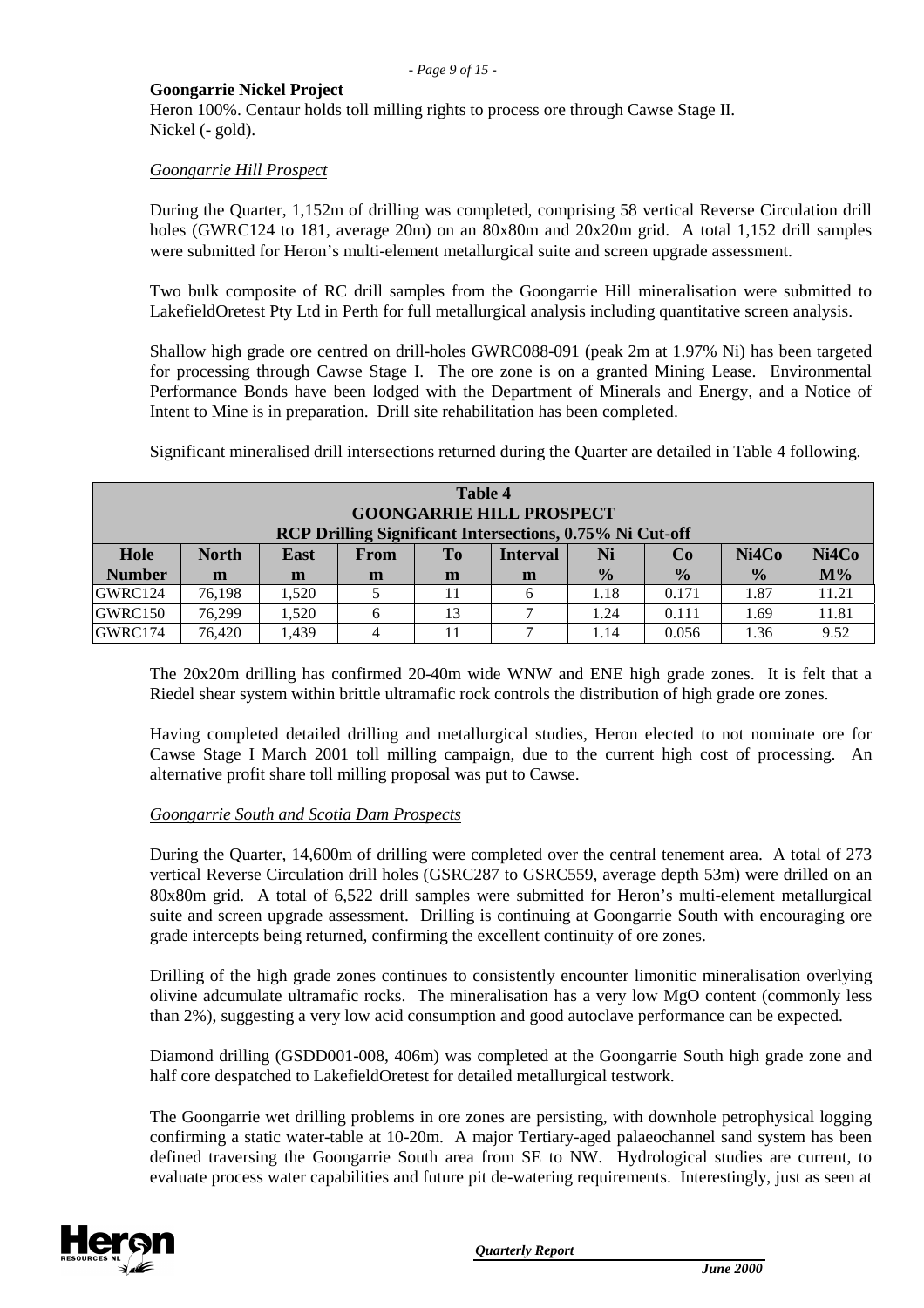*- Page 9 of 15 -*

### **Goongarrie Nickel Project**

Heron 100%. Centaur holds toll milling rights to process ore through Cawse Stage II. Nickel (- gold).

### *Goongarrie Hill Prospect*

During the Quarter, 1,152m of drilling was completed, comprising 58 vertical Reverse Circulation drill holes (GWRC124 to 181, average 20m) on an 80x80m and 20x20m grid. A total 1,152 drill samples were submitted for Heron's multi-element metallurgical suite and screen upgrade assessment.

Two bulk composite of RC drill samples from the Goongarrie Hill mineralisation were submitted to LakefieldOretest Pty Ltd in Perth for full metallurgical analysis including quantitative screen analysis.

Shallow high grade ore centred on drill-holes GWRC088-091 (peak 2m at 1.97% Ni) has been targeted for processing through Cawse Stage I. The ore zone is on a granted Mining Lease. Environmental Performance Bonds have been lodged with the Department of Minerals and Energy, and a Notice of Intent to Mine is in preparation. Drill site rehabilitation has been completed.

Significant mineralised drill intersections returned during the Quarter are detailed in Table 4 following.

| <b>Table 4</b><br><b>GOONGARRIE HILL PROSPECT</b><br>RCP Drilling Significant Intersections, 0.75% Ni Cut-off |              |             |             |    |                 |               |               |               |       |
|---------------------------------------------------------------------------------------------------------------|--------------|-------------|-------------|----|-----------------|---------------|---------------|---------------|-------|
| Hole                                                                                                          | <b>North</b> | <b>East</b> | <b>From</b> | To | <b>Interval</b> | Ni            | Co            | Ni4Co         | Ni4Co |
| <b>Number</b>                                                                                                 | m            | m           | m           | m  | m               | $\frac{0}{0}$ | $\frac{0}{0}$ | $\frac{6}{9}$ | $M\%$ |
| GWRC124                                                                                                       | 76.198       | 1.520       |             | 11 | 6               | 1.18          | 0.171         | 1.87          | 11.21 |
| GWRC150                                                                                                       | 76.299       | 1.520       |             | 13 |                 | 1.24          | 0.111         | 1.69          | 11.81 |
| GWRC174                                                                                                       | 76.420       | 1.439       |             |    |                 | 1.14          | 0.056         | 1.36          | 9.52  |

The 20x20m drilling has confirmed 20-40m wide WNW and ENE high grade zones. It is felt that a Riedel shear system within brittle ultramafic rock controls the distribution of high grade ore zones.

Having completed detailed drilling and metallurgical studies, Heron elected to not nominate ore for Cawse Stage I March 2001 toll milling campaign, due to the current high cost of processing. An alternative profit share toll milling proposal was put to Cawse.

#### *Goongarrie South and Scotia Dam Prospects*

During the Quarter, 14,600m of drilling were completed over the central tenement area. A total of 273 vertical Reverse Circulation drill holes (GSRC287 to GSRC559, average depth 53m) were drilled on an 80x80m grid. A total of 6,522 drill samples were submitted for Heron's multi-element metallurgical suite and screen upgrade assessment. Drilling is continuing at Goongarrie South with encouraging ore grade intercepts being returned, confirming the excellent continuity of ore zones.

Drilling of the high grade zones continues to consistently encounter limonitic mineralisation overlying olivine adcumulate ultramafic rocks. The mineralisation has a very low MgO content (commonly less than 2%), suggesting a very low acid consumption and good autoclave performance can be expected.

Diamond drilling (GSDD001-008, 406m) was completed at the Goongarrie South high grade zone and half core despatched to LakefieldOretest for detailed metallurgical testwork.

The Goongarrie wet drilling problems in ore zones are persisting, with downhole petrophysical logging confirming a static water-table at 10-20m. A major Tertiary-aged palaeochannel sand system has been defined traversing the Goongarrie South area from SE to NW. Hydrological studies are current, to evaluate process water capabilities and future pit de-watering requirements. Interestingly, just as seen at

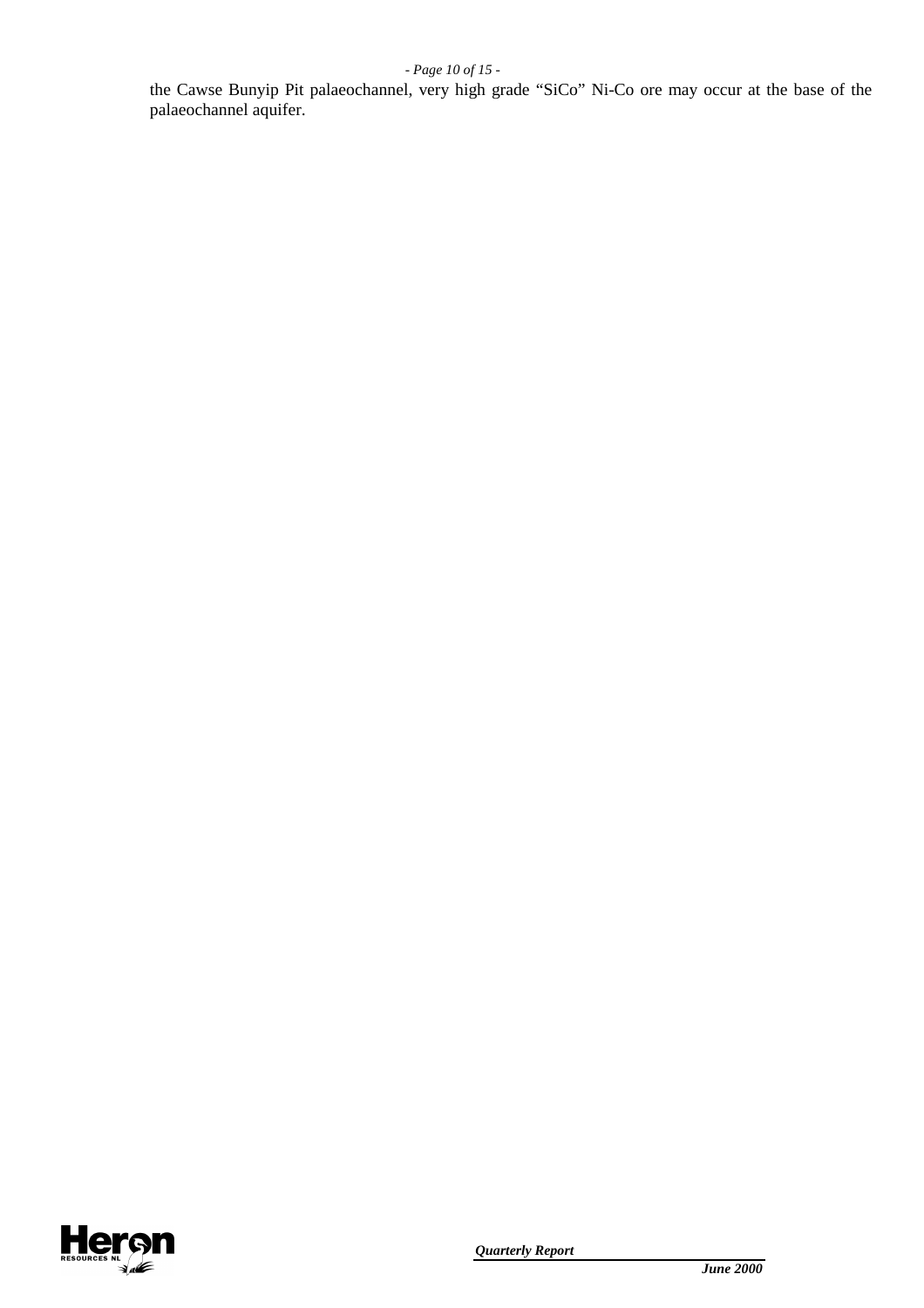### *- Page 10 of 15 -*

the Cawse Bunyip Pit palaeochannel, very high grade "SiCo" Ni-Co ore may occur at the base of the palaeochannel aquifer.

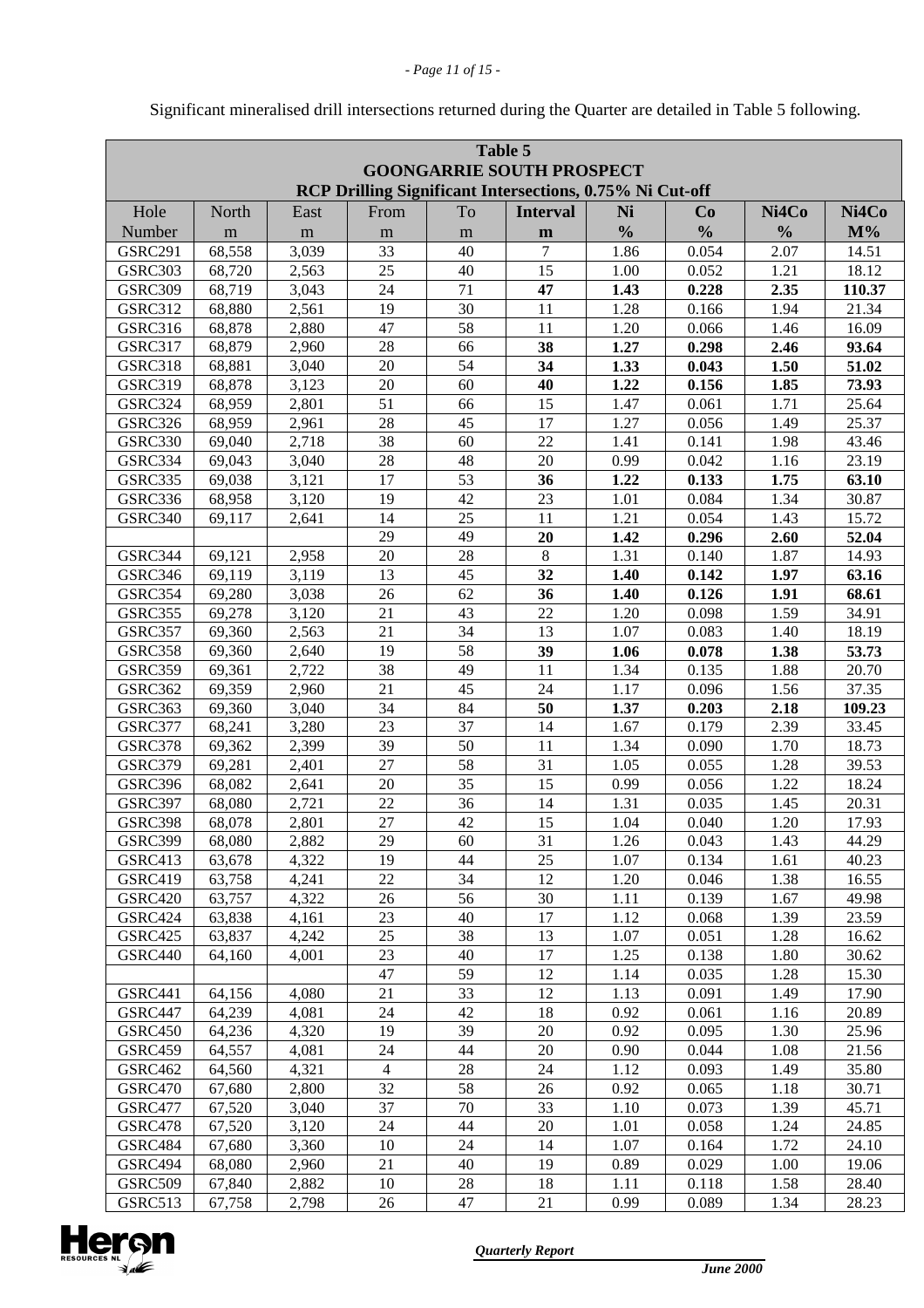# *- Page 11 of 15 -*

| <b>Table 5</b><br><b>GOONGARRIE SOUTH PROSPECT</b><br>RCP Drilling Significant Intersections, 0.75% Ni Cut-off |                  |                |                |          |                 |               |                     |               |                 |
|----------------------------------------------------------------------------------------------------------------|------------------|----------------|----------------|----------|-----------------|---------------|---------------------|---------------|-----------------|
| Hole                                                                                                           | North            |                |                | To       |                 | Ni            |                     | Ni4Co         | Ni4Co           |
| Number                                                                                                         |                  | East           | From           |          | <b>Interval</b> | $\frac{0}{0}$ | Co<br>$\frac{0}{0}$ | $\frac{0}{0}$ | $M\%$           |
|                                                                                                                | m<br>68,558      | m<br>3,039     | m<br>33        | m<br>40  | m<br>$\tau$     | 1.86          | 0.054               | 2.07          | 14.51           |
| <b>GSRC291</b><br><b>GSRC303</b>                                                                               | 68,720           | 2,563          | 25             | 40       | 15              | 1.00          | 0.052               | 1.21          | 18.12           |
|                                                                                                                |                  |                | 24             | 71       | 47              |               | 0.228               | 2.35          |                 |
| <b>GSRC309</b><br><b>GSRC312</b>                                                                               | 68,719<br>68,880 | 3,043<br>2,561 | 19             | 30       | 11              | 1.43<br>1.28  | 0.166               | 1.94          | 110.37<br>21.34 |
| <b>GSRC316</b>                                                                                                 |                  | 2,880          | 47             | 58       | 11              | 1.20          | 0.066               |               |                 |
|                                                                                                                | 68,878           |                |                |          | 38              | 1.27          | 0.298               | 1.46          | 16.09           |
| <b>GSRC317</b>                                                                                                 | 68,879           | 2,960          | 28             | 66<br>54 |                 |               |                     | 2.46          | 93.64           |
| <b>GSRC318</b>                                                                                                 | 68,881           | 3,040          | 20             | 60       | 34              | 1.33          | 0.043               | 1.50          | 51.02           |
| <b>GSRC319</b>                                                                                                 | 68,878           | 3,123          | 20<br>51       |          | 40<br>15        | 1.22          | 0.156               | 1.85          | 73.93           |
| <b>GSRC324</b>                                                                                                 | 68,959           | 2,801          |                | 66       | 17              | 1.47          | 0.061               | 1.71          | 25.64           |
| GSRC326                                                                                                        | 68,959           | 2,961          | 28             | 45<br>60 | 22              | 1.27          | 0.056               | 1.49          | 25.37           |
| <b>GSRC330</b>                                                                                                 | 69,040           | 2,718          | 38             |          |                 | 1.41          | 0.141               | 1.98          | 43.46           |
| GSRC334                                                                                                        | 69,043           | 3,040          | 28             | 48       | 20              | 0.99          | 0.042               | 1.16          | 23.19           |
| GSRC335                                                                                                        | 69,038           | 3,121          | 17             | 53       | 36              | 1.22          | 0.133               | 1.75          | 63.10           |
| GSRC336                                                                                                        | 68,958           | 3,120          | 19             | 42       | 23              | 1.01          | 0.084               | 1.34          | 30.87           |
| <b>GSRC340</b>                                                                                                 | 69,117           | 2,641          | 14             | 25       | 11              | 1.21          | 0.054               | 1.43          | 15.72           |
|                                                                                                                |                  |                | 29             | 49       | 20              | 1.42          | 0.296               | 2.60          | 52.04           |
| GSRC344                                                                                                        | 69,121           | 2,958          | 20             | 28       | $\,8\,$         | 1.31          | 0.140               | 1.87          | 14.93           |
| GSRC346                                                                                                        | 69,119           | 3,119          | 13             | 45       | 32              | 1.40          | 0.142               | 1.97          | 63.16           |
| GSRC354                                                                                                        | 69,280           | 3,038          | 26             | 62       | 36              | 1.40          | 0.126               | 1.91          | 68.61           |
| <b>GSRC355</b>                                                                                                 | 69,278           | 3,120          | 21             | 43       | 22              | 1.20          | 0.098               | 1.59          | 34.91           |
| GSRC357                                                                                                        | 69,360           | 2,563          | 21             | 34       | 13              | 1.07          | 0.083               | 1.40          | 18.19           |
| <b>GSRC358</b>                                                                                                 | 69,360           | 2,640          | 19             | 58       | 39              | 1.06          | 0.078               | 1.38          | 53.73           |
| <b>GSRC359</b>                                                                                                 | 69,361           | 2,722          | 38             | 49       | 11              | 1.34          | 0.135               | 1.88          | 20.70           |
| GSRC362                                                                                                        | 69,359           | 2,960          | 21             | 45       | 24              | 1.17          | 0.096               | 1.56          | 37.35           |
| GSRC363                                                                                                        | 69,360           | 3,040          | 34             | 84       | 50              | 1.37          | 0.203               | 2.18          | 109.23          |
| GSRC377                                                                                                        | 68,241           | 3,280          | 23             | 37       | 14              | 1.67          | 0.179               | 2.39          | 33.45           |
| <b>GSRC378</b>                                                                                                 | 69,362           | 2,399          | 39             | 50       | 11              | 1.34          | 0.090               | 1.70          | 18.73           |
| <b>GSRC379</b>                                                                                                 | 69,281           | 2,401          | 27             | 58       | 31              | 1.05          | 0.055               | 1.28          | 39.53           |
| GSRC396                                                                                                        | 68,082           | 2,641          | 20             | 35       | 15              | 0.99          | 0.056               | 1.22          | 18.24           |
| <b>GSRC397</b>                                                                                                 | 68,080           | 2,721          | 22             | 36       | 14              | 1.31          | 0.035               | 1.45          | 20.31           |
| GSRC398                                                                                                        | 68,078           | 2,801          | 27             | 42       | 15              | 1.04          | 0.040               | 1.20          | 17.93           |
| <b>GSRC399</b>                                                                                                 | 68,080           | 2,882          | 29             | 60       | 31              | 1.26          | 0.043               | 1.43          | 44.29           |
| <b>GSRC413</b>                                                                                                 | 63,678           | 4,322          | 19             | 44       | 25              | 1.07          | 0.134               | 1.61          | 40.23           |
| GSRC419                                                                                                        | 63,758           | 4,241          | 22             | 34       | 12              | 1.20          | 0.046               | 1.38          | 16.55           |
| <b>GSRC420</b>                                                                                                 | 63,757           | 4,322          | 26             | 56       | 30              | 1.11          | 0.139               | 1.67          | 49.98           |
| GSRC424                                                                                                        | 63,838           | 4,161          | 23             | 40       | 17              | 1.12          | 0.068               | 1.39          | 23.59           |
| <b>GSRC425</b>                                                                                                 | 63,837           | 4,242          | 25             | 38       | 13              | 1.07          | 0.051               | 1.28          | 16.62           |
| <b>GSRC440</b>                                                                                                 | 64,160           | 4,001          | 23             | 40       | 17              | 1.25          | 0.138               | 1.80          | 30.62           |
|                                                                                                                |                  |                | 47             | 59       | 12              | 1.14          | 0.035               | 1.28          | 15.30           |
| GSRC441                                                                                                        | 64,156           | 4,080          | 21             | 33       | 12              | 1.13          | 0.091               | 1.49          | 17.90           |
| GSRC447                                                                                                        | 64,239           | 4,081          | 24             | 42       | 18              | 0.92          | 0.061               | 1.16          | 20.89           |
| GSRC450                                                                                                        | 64,236           | 4,320          | 19             | 39       | 20              | 0.92          | 0.095               | 1.30          | 25.96           |
| <b>GSRC459</b>                                                                                                 | 64,557           | 4,081          | 24             | 44       | 20              | 0.90          | 0.044               | 1.08          | 21.56           |
| GSRC462                                                                                                        | 64,560           | 4,321          | $\overline{4}$ | $28\,$   | 24              | 1.12          | 0.093               | 1.49          | 35.80           |
| <b>GSRC470</b>                                                                                                 | 67,680           | 2,800          | 32             | 58       | 26              | 0.92          | 0.065               | 1.18          | 30.71           |
| GSRC477                                                                                                        | 67,520           | 3,040          | 37             | $70\,$   | 33              | 1.10          | 0.073               | 1.39          | 45.71           |
| GSRC478                                                                                                        | 67,520           | 3,120          | 24             | 44       | 20              | 1.01          | 0.058               | 1.24          | 24.85           |
| GSRC484                                                                                                        | 67,680           | 3,360          | 10             | 24       | 14              | 1.07          | 0.164               | 1.72          | 24.10           |
| GSRC494                                                                                                        | 68,080           | 2,960          | 21             | 40       | 19              | 0.89          | 0.029               | 1.00          | 19.06           |
| <b>GSRC509</b>                                                                                                 | 67,840           | 2,882          | 10             | $28\,$   | 18              | 1.11          | 0.118               | 1.58          | 28.40           |
| GSRC513                                                                                                        | 67,758           | 2,798          | 26             | 47       | 21              | 0.99          | 0.089               | 1.34          | 28.23           |

Significant mineralised drill intersections returned during the Quarter are detailed in Table 5 following.

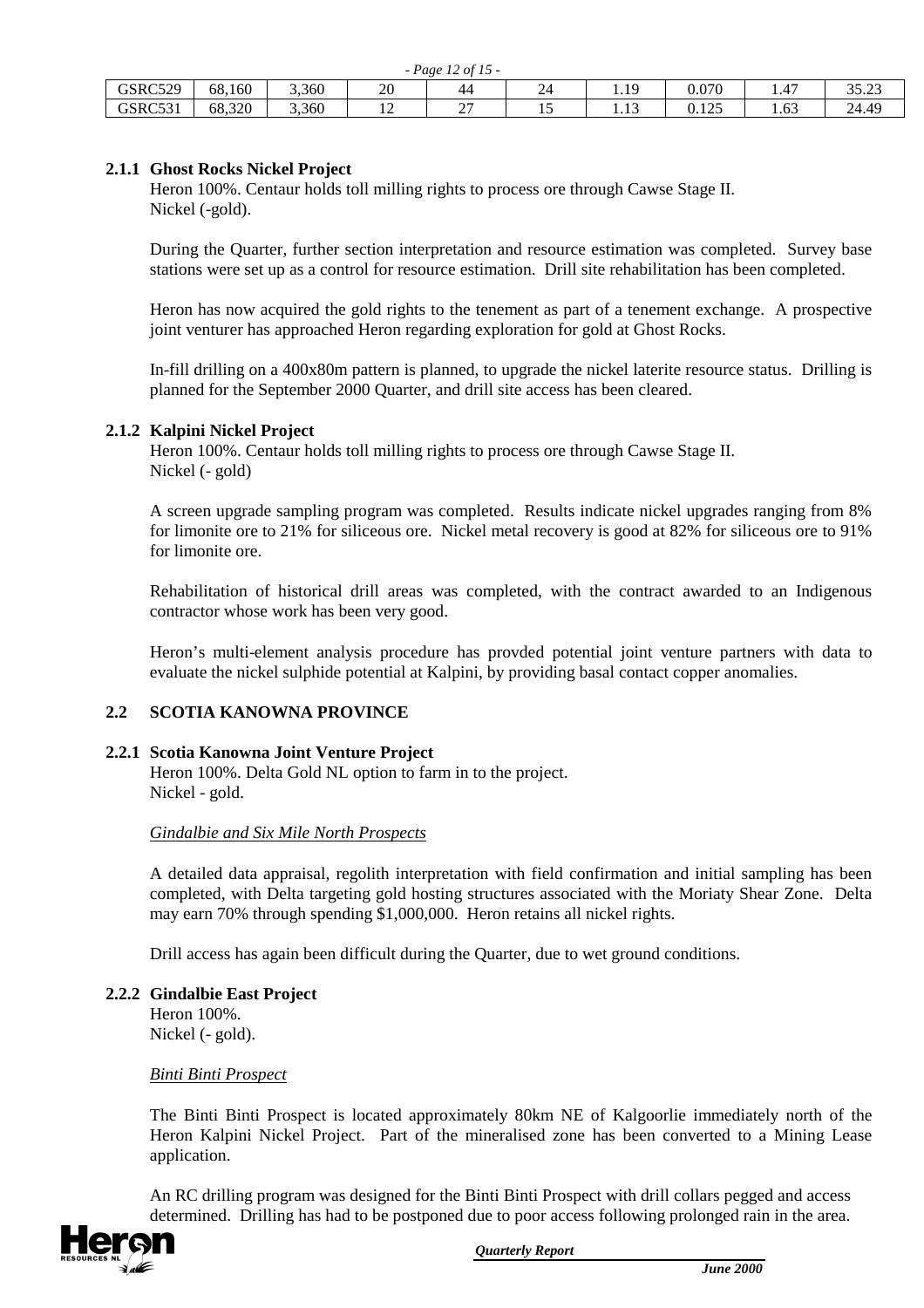| $1 \, \mu \times 12 \, \nu \rightarrow 12$ |        |       |                |                                    |         |                              |                      |                            |            |
|--------------------------------------------|--------|-------|----------------|------------------------------------|---------|------------------------------|----------------------|----------------------------|------------|
| GSRC529                                    | 68,160 | 3,360 | n<br>ZU        | 44                                 | ∼<br>∠∸ | 1 <sub>0</sub><br>. <i>.</i> | 0.070                | $\overline{A}$<br>4<br>. . | 25.22<br>ر |
| GSRC531                                    | 68.320 | 3,360 | $\overline{1}$ | $\sim$<br>$\overline{\phantom{a}}$ |         | 1.IJ                         | $1 \cap F$<br>v. 120 | 1.63                       | 24.49      |

### **2.1.1 Ghost Rocks Nickel Project**

Heron 100%. Centaur holds toll milling rights to process ore through Cawse Stage II. Nickel (-gold).

*- Page 12 of 15 -*

During the Quarter, further section interpretation and resource estimation was completed. Survey base stations were set up as a control for resource estimation. Drill site rehabilitation has been completed.

Heron has now acquired the gold rights to the tenement as part of a tenement exchange. A prospective joint venturer has approached Heron regarding exploration for gold at Ghost Rocks.

In-fill drilling on a 400x80m pattern is planned, to upgrade the nickel laterite resource status. Drilling is planned for the September 2000 Quarter, and drill site access has been cleared.

#### **2.1.2 Kalpini Nickel Project**

Heron 100%. Centaur holds toll milling rights to process ore through Cawse Stage II. Nickel (- gold)

A screen upgrade sampling program was completed. Results indicate nickel upgrades ranging from 8% for limonite ore to 21% for siliceous ore. Nickel metal recovery is good at 82% for siliceous ore to 91% for limonite ore.

Rehabilitation of historical drill areas was completed, with the contract awarded to an Indigenous contractor whose work has been very good.

Heron's multi-element analysis procedure has provded potential joint venture partners with data to evaluate the nickel sulphide potential at Kalpini, by providing basal contact copper anomalies.

#### **2.2 SCOTIA KANOWNA PROVINCE**

#### **2.2.1 Scotia Kanowna Joint Venture Project**

Heron 100%. Delta Gold NL option to farm in to the project. Nickel - gold.

#### *Gindalbie and Six Mile North Prospects*

A detailed data appraisal, regolith interpretation with field confirmation and initial sampling has been completed, with Delta targeting gold hosting structures associated with the Moriaty Shear Zone. Delta may earn 70% through spending \$1,000,000. Heron retains all nickel rights.

Drill access has again been difficult during the Quarter, due to wet ground conditions.

### **2.2.2 Gindalbie East Project**

Heron 100%. Nickel (- gold).

### *Binti Binti Prospect*

The Binti Binti Prospect is located approximately 80km NE of Kalgoorlie immediately north of the Heron Kalpini Nickel Project. Part of the mineralised zone has been converted to a Mining Lease application.

An RC drilling program was designed for the Binti Binti Prospect with drill collars pegged and access determined. Drilling has had to be postponed due to poor access following prolonged rain in the area.

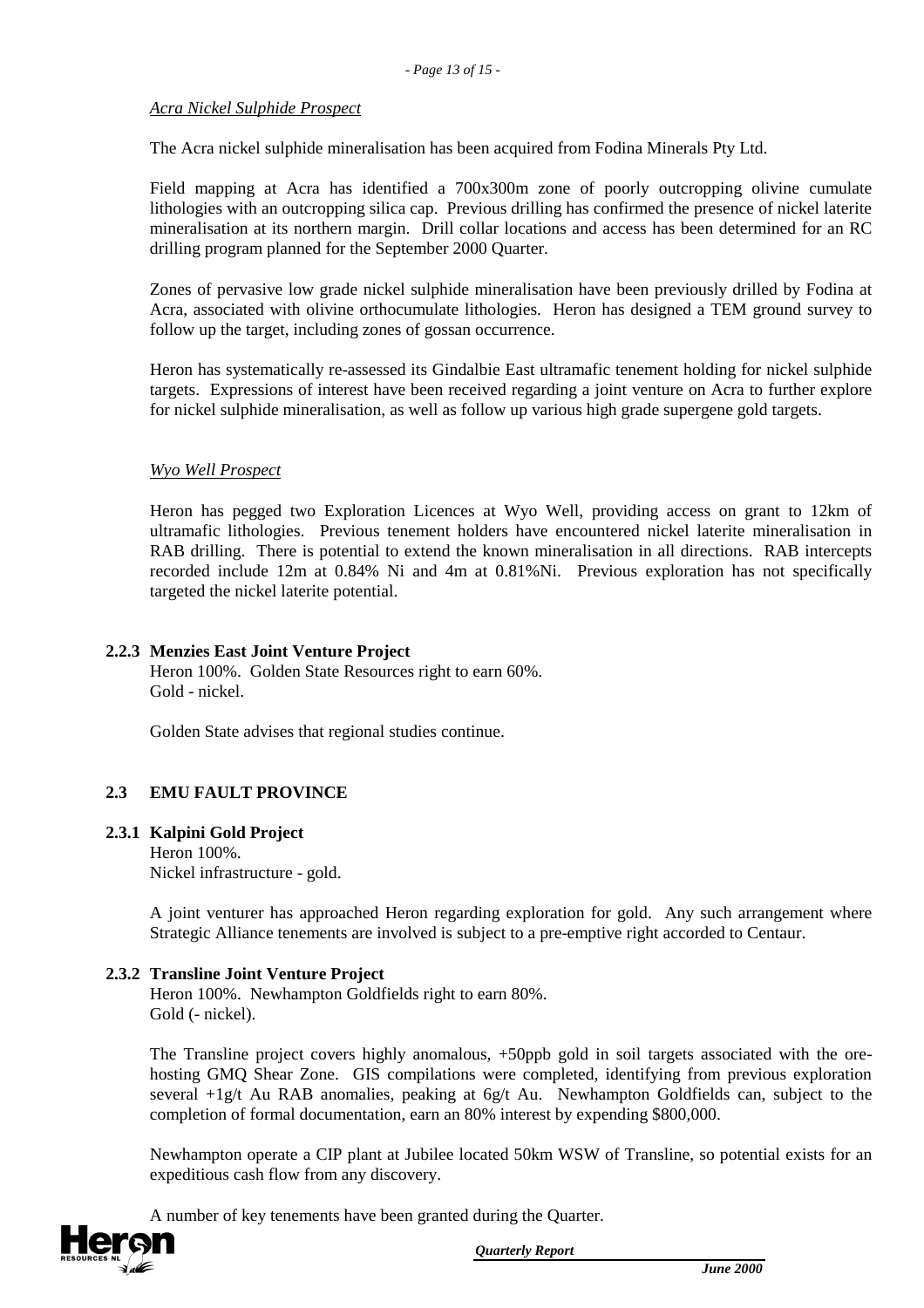### *Acra Nickel Sulphide Prospect*

The Acra nickel sulphide mineralisation has been acquired from Fodina Minerals Pty Ltd.

Field mapping at Acra has identified a 700x300m zone of poorly outcropping olivine cumulate lithologies with an outcropping silica cap. Previous drilling has confirmed the presence of nickel laterite mineralisation at its northern margin. Drill collar locations and access has been determined for an RC drilling program planned for the September 2000 Quarter.

Zones of pervasive low grade nickel sulphide mineralisation have been previously drilled by Fodina at Acra, associated with olivine orthocumulate lithologies. Heron has designed a TEM ground survey to follow up the target, including zones of gossan occurrence.

Heron has systematically re-assessed its Gindalbie East ultramafic tenement holding for nickel sulphide targets. Expressions of interest have been received regarding a joint venture on Acra to further explore for nickel sulphide mineralisation, as well as follow up various high grade supergene gold targets.

### *Wyo Well Prospect*

Heron has pegged two Exploration Licences at Wyo Well, providing access on grant to 12km of ultramafic lithologies. Previous tenement holders have encountered nickel laterite mineralisation in RAB drilling. There is potential to extend the known mineralisation in all directions. RAB intercepts recorded include 12m at 0.84% Ni and 4m at 0.81%Ni. Previous exploration has not specifically targeted the nickel laterite potential.

### **2.2.3 Menzies East Joint Venture Project**

Heron 100%. Golden State Resources right to earn 60%. Gold - nickel.

Golden State advises that regional studies continue.

## **2.3 EMU FAULT PROVINCE**

## **2.3.1 Kalpini Gold Project**

Heron 100%. Nickel infrastructure - gold.

A joint venturer has approached Heron regarding exploration for gold. Any such arrangement where Strategic Alliance tenements are involved is subject to a pre-emptive right accorded to Centaur.

#### **2.3.2 Transline Joint Venture Project**

Heron 100%. Newhampton Goldfields right to earn 80%. Gold (- nickel).

The Transline project covers highly anomalous, +50ppb gold in soil targets associated with the orehosting GMQ Shear Zone. GIS compilations were completed, identifying from previous exploration several  $+1g/t$  Au RAB anomalies, peaking at  $6g/t$  Au. Newhampton Goldfields can, subject to the completion of formal documentation, earn an 80% interest by expending \$800,000.

Newhampton operate a CIP plant at Jubilee located 50km WSW of Transline, so potential exists for an expeditious cash flow from any discovery.

A number of key tenements have been granted during the Quarter.

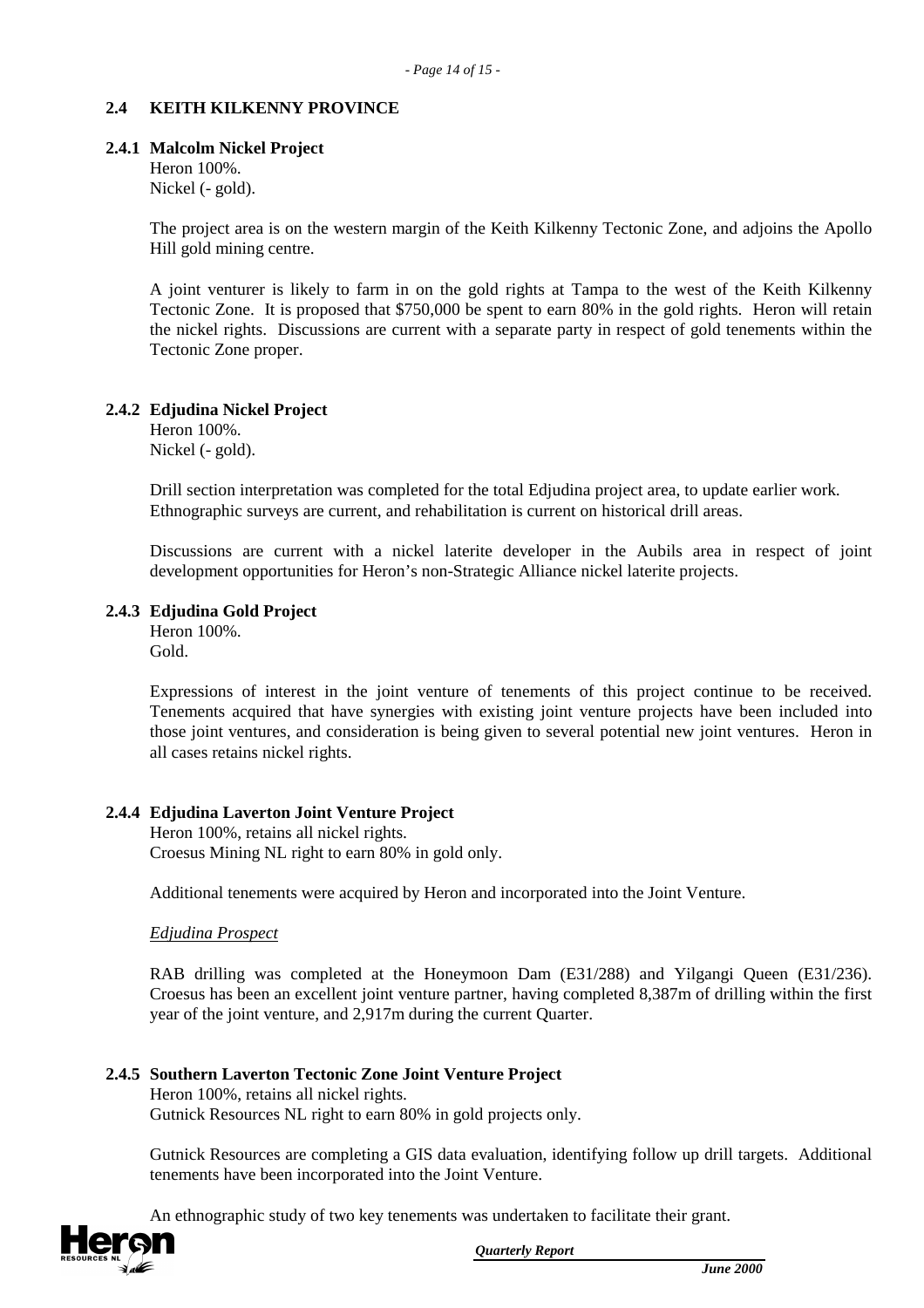## **2.4 KEITH KILKENNY PROVINCE**

### **2.4.1 Malcolm Nickel Project**

Heron 100%.

Nickel (- gold).

The project area is on the western margin of the Keith Kilkenny Tectonic Zone, and adjoins the Apollo Hill gold mining centre.

A joint venturer is likely to farm in on the gold rights at Tampa to the west of the Keith Kilkenny Tectonic Zone. It is proposed that \$750,000 be spent to earn 80% in the gold rights. Heron will retain the nickel rights. Discussions are current with a separate party in respect of gold tenements within the Tectonic Zone proper.

## **2.4.2 Edjudina Nickel Project**

Heron 100%. Nickel (- gold).

Drill section interpretation was completed for the total Edjudina project area, to update earlier work. Ethnographic surveys are current, and rehabilitation is current on historical drill areas.

Discussions are current with a nickel laterite developer in the Aubils area in respect of joint development opportunities for Heron's non-Strategic Alliance nickel laterite projects.

### **2.4.3 Edjudina Gold Project**

Heron 100%. Gold.

Expressions of interest in the joint venture of tenements of this project continue to be received. Tenements acquired that have synergies with existing joint venture projects have been included into those joint ventures, and consideration is being given to several potential new joint ventures. Heron in all cases retains nickel rights.

#### **2.4.4 Edjudina Laverton Joint Venture Project**

Heron 100%, retains all nickel rights. Croesus Mining NL right to earn 80% in gold only.

Additional tenements were acquired by Heron and incorporated into the Joint Venture.

#### *Edjudina Prospect*

RAB drilling was completed at the Honeymoon Dam (E31/288) and Yilgangi Queen (E31/236). Croesus has been an excellent joint venture partner, having completed 8,387m of drilling within the first year of the joint venture, and 2,917m during the current Quarter.

## **2.4.5 Southern Laverton Tectonic Zone Joint Venture Project**

Heron 100%, retains all nickel rights. Gutnick Resources NL right to earn 80% in gold projects only.

Gutnick Resources are completing a GIS data evaluation, identifying follow up drill targets. Additional tenements have been incorporated into the Joint Venture.

An ethnographic study of two key tenements was undertaken to facilitate their grant.

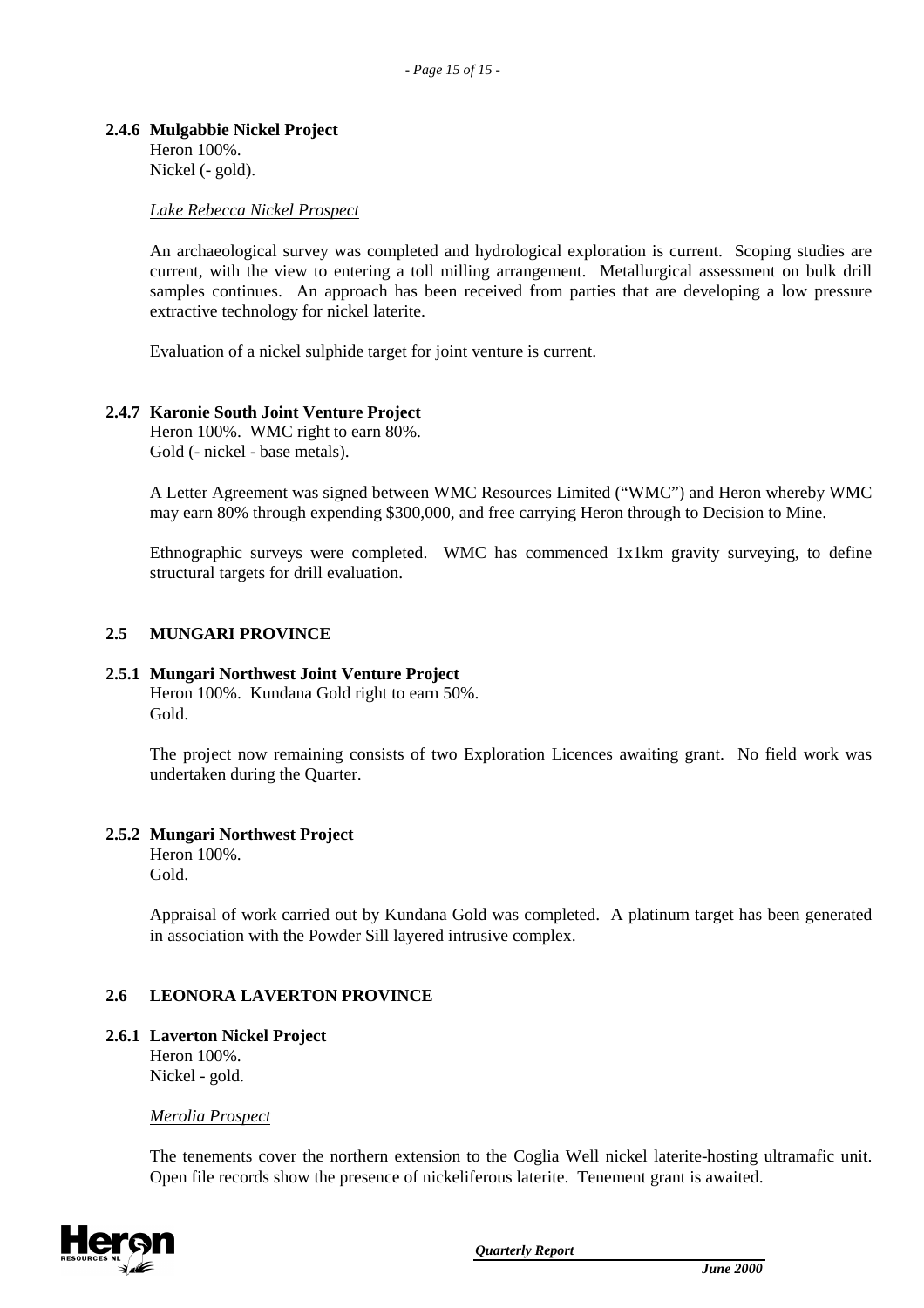## **2.4.6 Mulgabbie Nickel Project**

Heron 100%. Nickel (- gold).

#### *Lake Rebecca Nickel Prospect*

An archaeological survey was completed and hydrological exploration is current. Scoping studies are current, with the view to entering a toll milling arrangement. Metallurgical assessment on bulk drill samples continues. An approach has been received from parties that are developing a low pressure extractive technology for nickel laterite.

Evaluation of a nickel sulphide target for joint venture is current.

#### **2.4.7 Karonie South Joint Venture Project**

Heron 100%. WMC right to earn 80%. Gold (- nickel - base metals).

A Letter Agreement was signed between WMC Resources Limited ("WMC") and Heron whereby WMC may earn 80% through expending \$300,000, and free carrying Heron through to Decision to Mine.

Ethnographic surveys were completed. WMC has commenced 1x1km gravity surveying, to define structural targets for drill evaluation.

#### **2.5 MUNGARI PROVINCE**

### **2.5.1 Mungari Northwest Joint Venture Project**

Heron 100%. Kundana Gold right to earn 50%. Gold.

The project now remaining consists of two Exploration Licences awaiting grant. No field work was undertaken during the Quarter.

#### **2.5.2 Mungari Northwest Project**

Heron 100%. Gold.

Appraisal of work carried out by Kundana Gold was completed. A platinum target has been generated in association with the Powder Sill layered intrusive complex.

#### **2.6 LEONORA LAVERTON PROVINCE**

#### **2.6.1 Laverton Nickel Project**

Heron 100%. Nickel - gold.

#### *Merolia Prospect*

The tenements cover the northern extension to the Coglia Well nickel laterite-hosting ultramafic unit. Open file records show the presence of nickeliferous laterite. Tenement grant is awaited.

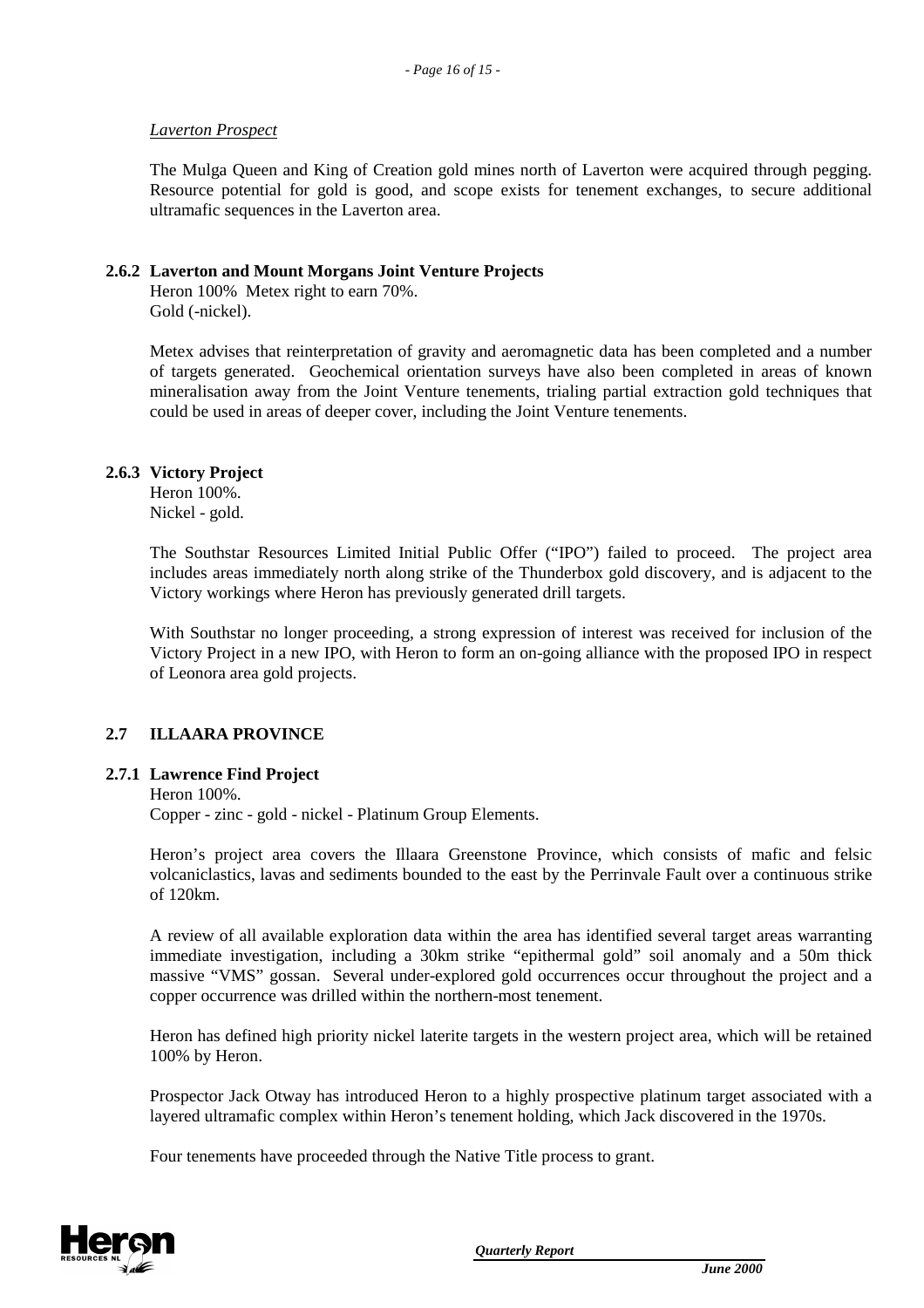### *Laverton Prospect*

The Mulga Queen and King of Creation gold mines north of Laverton were acquired through pegging. Resource potential for gold is good, and scope exists for tenement exchanges, to secure additional ultramafic sequences in the Laverton area.

### **2.6.2 Laverton and Mount Morgans Joint Venture Projects**

Heron 100% Metex right to earn 70%. Gold (-nickel).

Metex advises that reinterpretation of gravity and aeromagnetic data has been completed and a number of targets generated. Geochemical orientation surveys have also been completed in areas of known mineralisation away from the Joint Venture tenements, trialing partial extraction gold techniques that could be used in areas of deeper cover, including the Joint Venture tenements.

### **2.6.3 Victory Project**

Heron 100%. Nickel - gold.

The Southstar Resources Limited Initial Public Offer ("IPO") failed to proceed. The project area includes areas immediately north along strike of the Thunderbox gold discovery, and is adjacent to the Victory workings where Heron has previously generated drill targets.

With Southstar no longer proceeding, a strong expression of interest was received for inclusion of the Victory Project in a new IPO, with Heron to form an on-going alliance with the proposed IPO in respect of Leonora area gold projects.

## **2.7 ILLAARA PROVINCE**

## **2.7.1 Lawrence Find Project**

Heron 100%.

Copper - zinc - gold - nickel - Platinum Group Elements.

Heron's project area covers the Illaara Greenstone Province, which consists of mafic and felsic volcaniclastics, lavas and sediments bounded to the east by the Perrinvale Fault over a continuous strike of 120km.

A review of all available exploration data within the area has identified several target areas warranting immediate investigation, including a 30km strike "epithermal gold" soil anomaly and a 50m thick massive "VMS" gossan. Several under-explored gold occurrences occur throughout the project and a copper occurrence was drilled within the northern-most tenement.

Heron has defined high priority nickel laterite targets in the western project area, which will be retained 100% by Heron.

Prospector Jack Otway has introduced Heron to a highly prospective platinum target associated with a layered ultramafic complex within Heron's tenement holding, which Jack discovered in the 1970s.

Four tenements have proceeded through the Native Title process to grant.

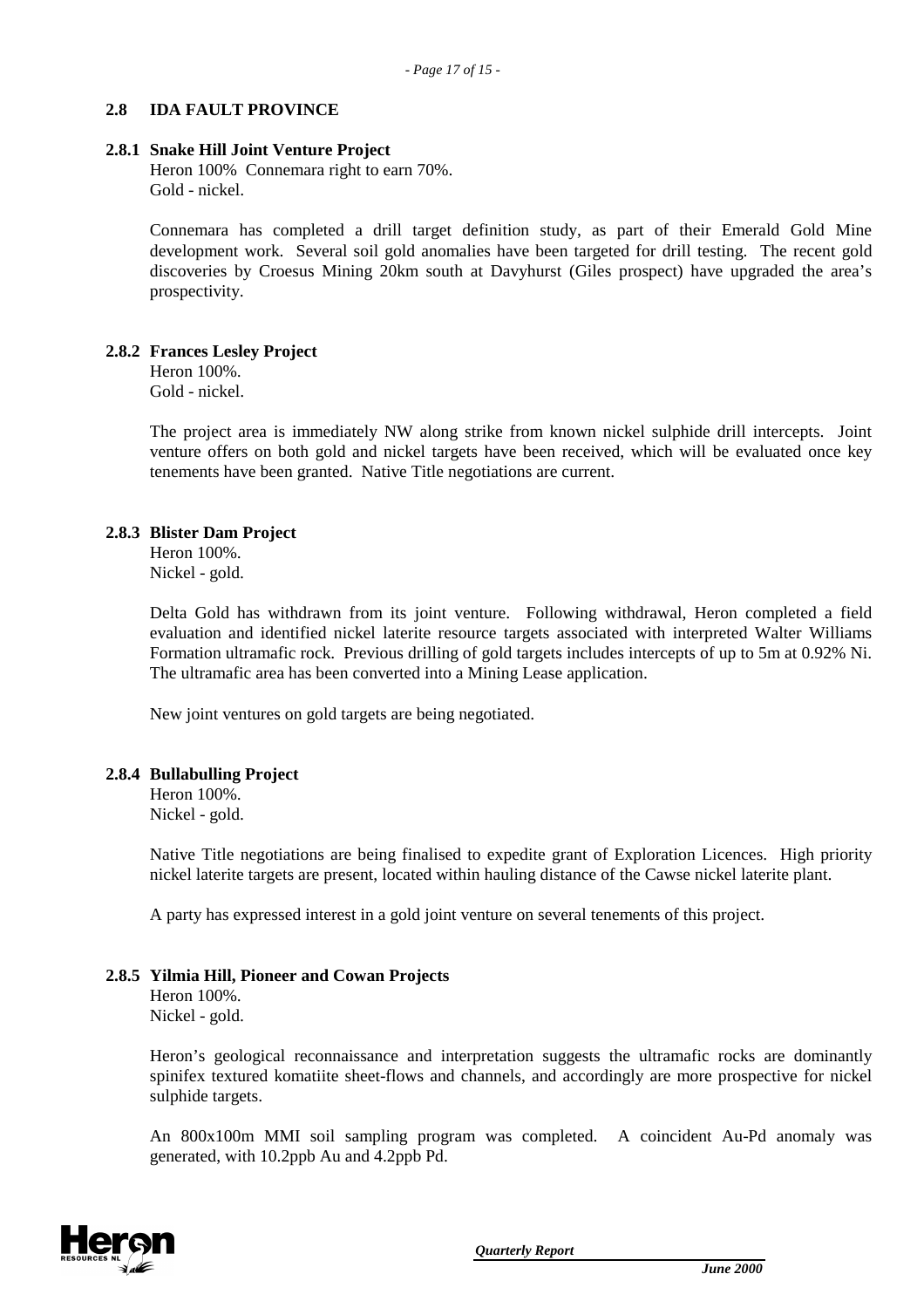### **2.8 IDA FAULT PROVINCE**

# **2.8.1 Snake Hill Joint Venture Project**

Heron 100% Connemara right to earn 70%. Gold - nickel.

Connemara has completed a drill target definition study, as part of their Emerald Gold Mine development work. Several soil gold anomalies have been targeted for drill testing. The recent gold discoveries by Croesus Mining 20km south at Davyhurst (Giles prospect) have upgraded the area's prospectivity.

## **2.8.2 Frances Lesley Project**

Heron 100%. Gold - nickel.

The project area is immediately NW along strike from known nickel sulphide drill intercepts. Joint venture offers on both gold and nickel targets have been received, which will be evaluated once key tenements have been granted. Native Title negotiations are current.

## **2.8.3 Blister Dam Project**

Heron 100%. Nickel - gold.

Delta Gold has withdrawn from its joint venture. Following withdrawal, Heron completed a field evaluation and identified nickel laterite resource targets associated with interpreted Walter Williams Formation ultramafic rock. Previous drilling of gold targets includes intercepts of up to 5m at 0.92% Ni. The ultramafic area has been converted into a Mining Lease application.

New joint ventures on gold targets are being negotiated.

## **2.8.4 Bullabulling Project**

Heron 100%. Nickel - gold.

Native Title negotiations are being finalised to expedite grant of Exploration Licences. High priority nickel laterite targets are present, located within hauling distance of the Cawse nickel laterite plant.

A party has expressed interest in a gold joint venture on several tenements of this project.

## **2.8.5 Yilmia Hill, Pioneer and Cowan Projects**

Heron 100%. Nickel - gold.

Heron's geological reconnaissance and interpretation suggests the ultramafic rocks are dominantly spinifex textured komatiite sheet-flows and channels, and accordingly are more prospective for nickel sulphide targets.

An 800x100m MMI soil sampling program was completed. A coincident Au-Pd anomaly was generated, with 10.2ppb Au and 4.2ppb Pd.

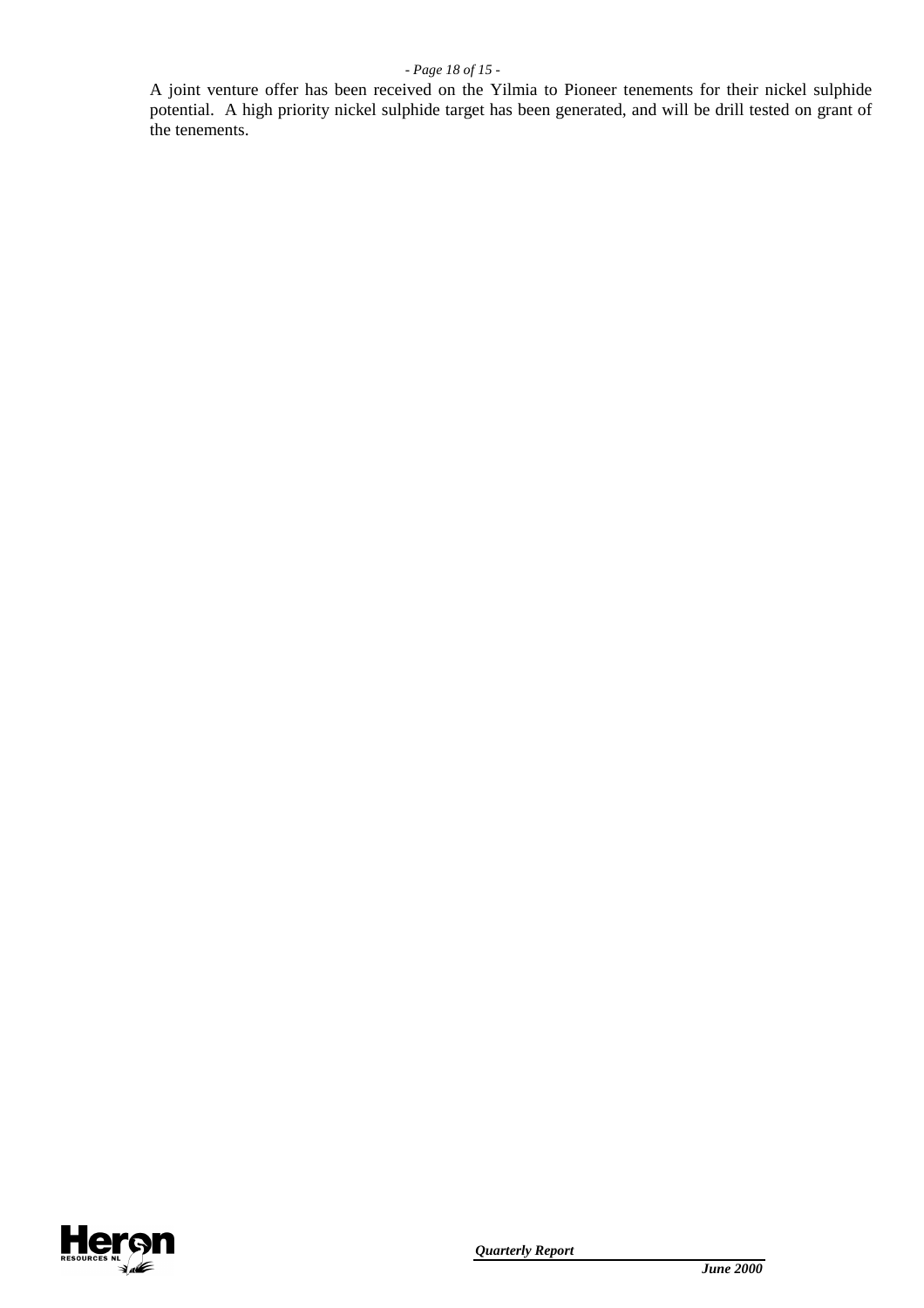#### *- Page 18 of 15 -*

A joint venture offer has been received on the Yilmia to Pioneer tenements for their nickel sulphide potential. A high priority nickel sulphide target has been generated, and will be drill tested on grant of the tenements.

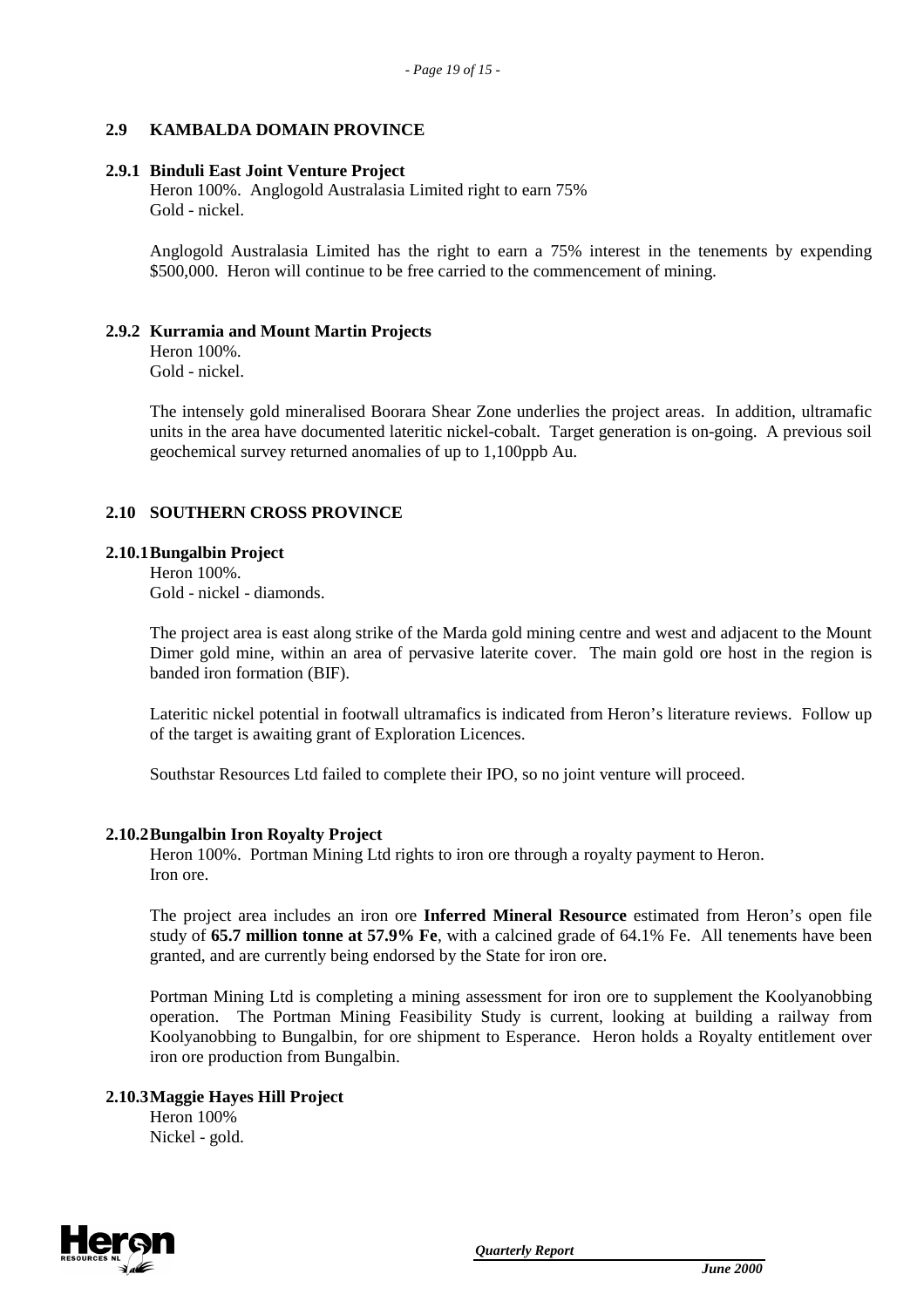## **2.9 KAMBALDA DOMAIN PROVINCE**

#### **2.9.1 Binduli East Joint Venture Project**

Heron 100%. Anglogold Australasia Limited right to earn 75% Gold - nickel.

Anglogold Australasia Limited has the right to earn a 75% interest in the tenements by expending \$500,000. Heron will continue to be free carried to the commencement of mining.

### **2.9.2 Kurramia and Mount Martin Projects**

Heron 100%. Gold - nickel.

The intensely gold mineralised Boorara Shear Zone underlies the project areas. In addition, ultramafic units in the area have documented lateritic nickel-cobalt. Target generation is on-going. A previous soil geochemical survey returned anomalies of up to 1,100ppb Au.

## **2.10 SOUTHERN CROSS PROVINCE**

### **2.10.1Bungalbin Project**

Heron 100%. Gold - nickel - diamonds.

The project area is east along strike of the Marda gold mining centre and west and adjacent to the Mount Dimer gold mine, within an area of pervasive laterite cover. The main gold ore host in the region is banded iron formation (BIF).

Lateritic nickel potential in footwall ultramafics is indicated from Heron's literature reviews. Follow up of the target is awaiting grant of Exploration Licences.

Southstar Resources Ltd failed to complete their IPO, so no joint venture will proceed.

#### **2.10.2Bungalbin Iron Royalty Project**

Heron 100%. Portman Mining Ltd rights to iron ore through a royalty payment to Heron. Iron ore.

The project area includes an iron ore **Inferred Mineral Resource** estimated from Heron's open file study of **65.7 million tonne at 57.9% Fe**, with a calcined grade of 64.1% Fe. All tenements have been granted, and are currently being endorsed by the State for iron ore.

Portman Mining Ltd is completing a mining assessment for iron ore to supplement the Koolyanobbing operation. The Portman Mining Feasibility Study is current, looking at building a railway from Koolyanobbing to Bungalbin, for ore shipment to Esperance. Heron holds a Royalty entitlement over iron ore production from Bungalbin.

## **2.10.3Maggie Hayes Hill Project**

Heron 100% Nickel - gold.

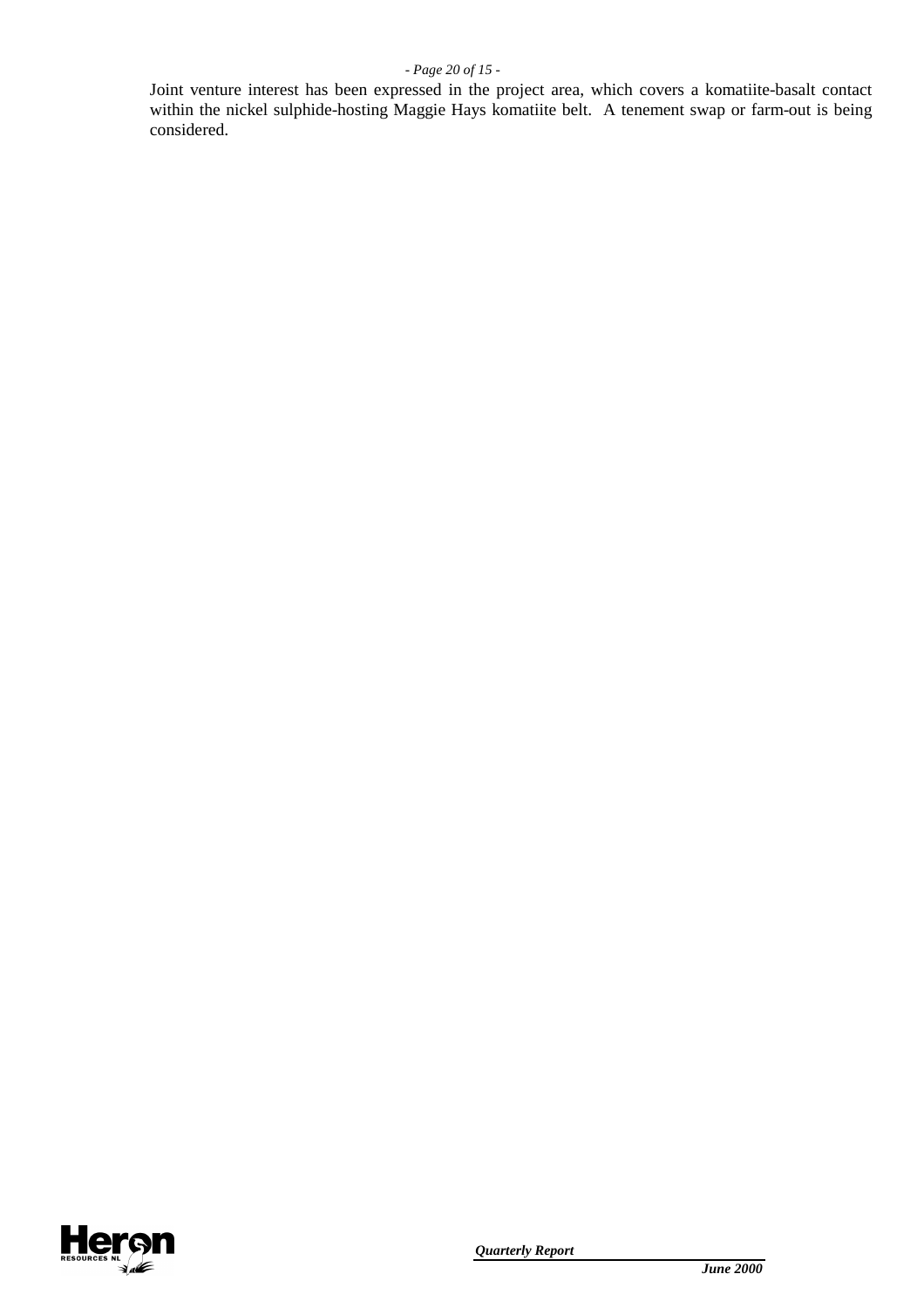# *- Page 20 of 15 -*

Joint venture interest has been expressed in the project area, which covers a komatiite-basalt contact within the nickel sulphide-hosting Maggie Hays komatiite belt. A tenement swap or farm-out is being considered.